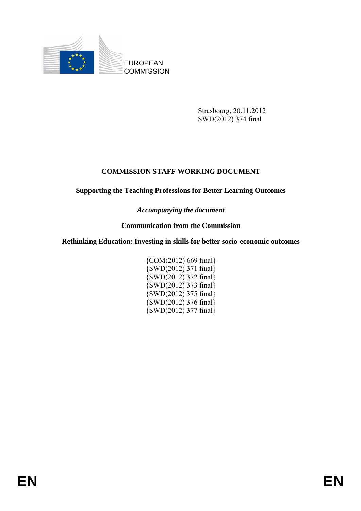

Strasbourg, 20.11.2012 SWD(2012) 374 final

# **COMMISSION STAFF WORKING DOCUMENT**

#### **Supporting the Teaching Professions for Better Learning Outcomes**

*Accompanying the document* 

## **Communication from the Commission**

#### **Rethinking Education: Investing in skills for better socio-economic outcomes**

{COM(2012) 669 final} {SWD(2012) 371 final} {SWD(2012) 372 final} {SWD(2012) 373 final} {SWD(2012) 375 final} {SWD(2012) 376 final} {SWD(2012) 377 final}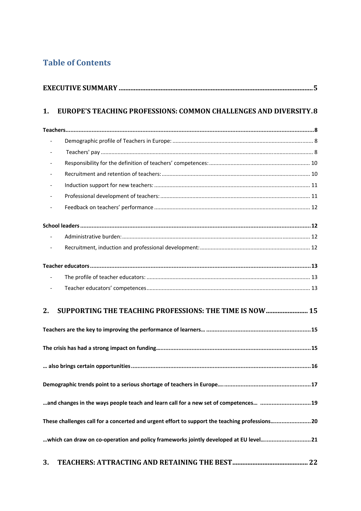# **Table of Contents**

| 1. | <b>EUROPE'S TEACHING PROFESSIONS: COMMON CHALLENGES AND DIVERSITY.8</b>                       |  |  |
|----|-----------------------------------------------------------------------------------------------|--|--|
|    |                                                                                               |  |  |
|    |                                                                                               |  |  |
|    |                                                                                               |  |  |
|    |                                                                                               |  |  |
|    |                                                                                               |  |  |
|    |                                                                                               |  |  |
|    |                                                                                               |  |  |
|    |                                                                                               |  |  |
|    |                                                                                               |  |  |
|    |                                                                                               |  |  |
|    |                                                                                               |  |  |
|    |                                                                                               |  |  |
|    |                                                                                               |  |  |
|    |                                                                                               |  |  |
| 2. | SUPPORTING THE TEACHING PROFESSIONS: THE TIME IS NOW 15                                       |  |  |
|    |                                                                                               |  |  |
|    |                                                                                               |  |  |
|    |                                                                                               |  |  |
|    |                                                                                               |  |  |
|    | and changes in the ways people teach and learn call for a new set of competences 19           |  |  |
|    | These challenges call for a concerted and urgent effort to support the teaching professions20 |  |  |
|    | which can draw on co-operation and policy frameworks jointly developed at EU level21          |  |  |
| 3. |                                                                                               |  |  |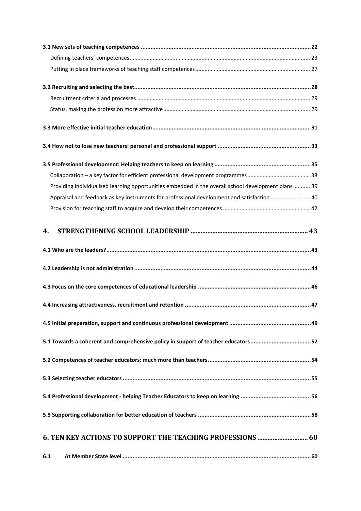| Providing individualised learning opportunities embedded in the overall school development plans 39 |  |
|-----------------------------------------------------------------------------------------------------|--|
| Appraisal and feedback as key instruments for professional development and satisfaction 40          |  |
|                                                                                                     |  |
| 4.                                                                                                  |  |
|                                                                                                     |  |
|                                                                                                     |  |
|                                                                                                     |  |
|                                                                                                     |  |
|                                                                                                     |  |
| 5.1 Towards a coherent and comprehensive policy in support of teacher educators52                   |  |
|                                                                                                     |  |
|                                                                                                     |  |
|                                                                                                     |  |
|                                                                                                     |  |
|                                                                                                     |  |
| 6.1                                                                                                 |  |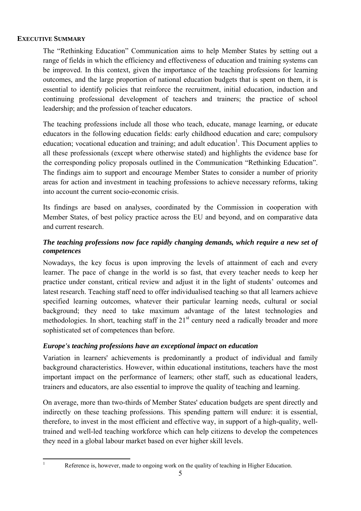#### <span id="page-4-0"></span>**EXECUTIVE SUMMARY**

The "Rethinking Education" Communication aims to help Member States by setting out a range of fields in which the efficiency and effectiveness of education and training systems can be improved. In this context, given the importance of the teaching professions for learning outcomes, and the large proportion of national education budgets that is spent on them, it is essential to identify policies that reinforce the recruitment, initial education, induction and continuing professional development of teachers and trainers; the practice of school leadership; and the profession of teacher educators.

The teaching professions include all those who teach, educate, manage learning, or educate educators in the following education fields: early childhood education and care; compulsory education; vocational education and training; and adult education<sup>1</sup>. This Document applies to all these professionals (except where otherwise stated) and highlights the evidence base for the corresponding policy proposals outlined in the Communication "Rethinking Education". The findings aim to support and encourage Member States to consider a number of priority areas for action and investment in teaching professions to achieve necessary reforms, taking into account the current socio-economic crisis.

Its findings are based on analyses, coordinated by the Commission in cooperation with Member States, of best policy practice across the EU and beyond, and on comparative data and current research.

#### *The teaching professions now face rapidly changing demands, which require a new set of competences*

Nowadays, the key focus is upon improving the levels of attainment of each and every learner. The pace of change in the world is so fast, that every teacher needs to keep her practice under constant, critical review and adjust it in the light of students' outcomes and latest research. Teaching staff need to offer individualised teaching so that all learners achieve specified learning outcomes, whatever their particular learning needs, cultural or social background; they need to take maximum advantage of the latest technologies and methodologies. In short, teaching staff in the  $21<sup>st</sup>$  century need a radically broader and more sophisticated set of competences than before.

#### *Europe's teaching professions have an exceptional impact on education*

Variation in learners' achievements is predominantly a product of individual and family background characteristics. However, within educational institutions, teachers have the most important impact on the performance of learners; other staff, such as educational leaders, trainers and educators, are also essential to improve the quality of teaching and learning.

On average, more than two-thirds of Member States' education budgets are spent directly and indirectly on these teaching professions. This spending pattern will endure: it is essential, therefore, to invest in the most efficient and effective way, in support of a high-quality, welltrained and well-led teaching workforce which can help citizens to develop the competences they need in a global labour market based on ever higher skill levels.

 $\frac{1}{1}$ 

Reference is, however, made to ongoing work on the quality of teaching in Higher Education.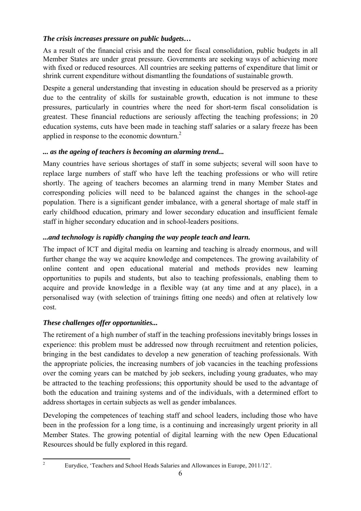#### *The crisis increases pressure on public budgets…*

As a result of the financial crisis and the need for fiscal consolidation, public budgets in all Member States are under great pressure. Governments are seeking ways of achieving more with fixed or reduced resources. All countries are seeking patterns of expenditure that limit or shrink current expenditure without dismantling the foundations of sustainable growth.

Despite a general understanding that investing in education should be preserved as a priority due to the centrality of skills for sustainable growth, education is not immune to these pressures, particularly in countries where the need for short-term fiscal consolidation is greatest. These financial reductions are seriously affecting the teaching professions; in 20 education systems, cuts have been made in teaching staff salaries or a salary freeze has been applied in response to the economic downturn.2

#### *... as the ageing of teachers is becoming an alarming trend...*

Many countries have serious shortages of staff in some subjects; several will soon have to replace large numbers of staff who have left the teaching professions or who will retire shortly. The ageing of teachers becomes an alarming trend in many Member States and corresponding policies will need to be balanced against the changes in the school-age population. There is a significant gender imbalance, with a general shortage of male staff in early childhood education, primary and lower secondary education and insufficient female staff in higher secondary education and in school-leaders positions.

## *...and technology is rapidly changing the way people teach and learn.*

The impact of ICT and digital media on learning and teaching is already enormous, and will further change the way we acquire knowledge and competences. The growing availability of online content and open educational material and methods provides new learning opportunities to pupils and students, but also to teaching professionals, enabling them to acquire and provide knowledge in a flexible way (at any time and at any place), in a personalised way (with selection of trainings fitting one needs) and often at relatively low cost.

## *These challenges offer opportunities...*

The retirement of a high number of staff in the teaching professions inevitably brings losses in experience: this problem must be addressed now through recruitment and retention policies, bringing in the best candidates to develop a new generation of teaching professionals. With the appropriate policies, the increasing numbers of job vacancies in the teaching professions over the coming years can be matched by job seekers, including young graduates, who may be attracted to the teaching professions; this opportunity should be used to the advantage of both the education and training systems and of the individuals, with a determined effort to address shortages in certain subjects as well as gender imbalances.

Developing the competences of teaching staff and school leaders, including those who have been in the profession for a long time, is a continuing and increasingly urgent priority in all Member States. The growing potential of digital learning with the new Open Educational Resources should be fully explored in this regard.

**.** 2

Eurydice, 'Teachers and School Heads Salaries and Allowances in Europe, 2011/12'.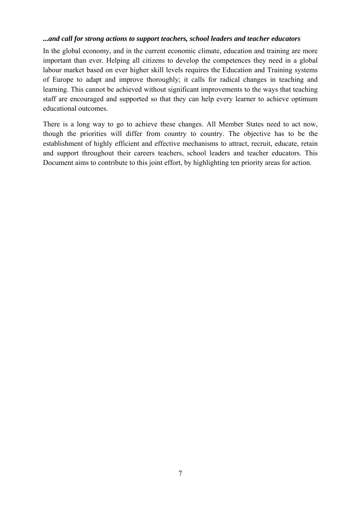#### *...and call for strong actions to support teachers, school leaders and teacher educators*

In the global economy, and in the current economic climate, education and training are more important than ever. Helping all citizens to develop the competences they need in a global labour market based on ever higher skill levels requires the Education and Training systems of Europe to adapt and improve thoroughly; it calls for radical changes in teaching and learning. This cannot be achieved without significant improvements to the ways that teaching staff are encouraged and supported so that they can help every learner to achieve optimum educational outcomes.

There is a long way to go to achieve these changes. All Member States need to act now, though the priorities will differ from country to country. The objective has to be the establishment of highly efficient and effective mechanisms to attract, recruit, educate, retain and support throughout their careers teachers, school leaders and teacher educators. This Document aims to contribute to this joint effort, by highlighting ten priority areas for action.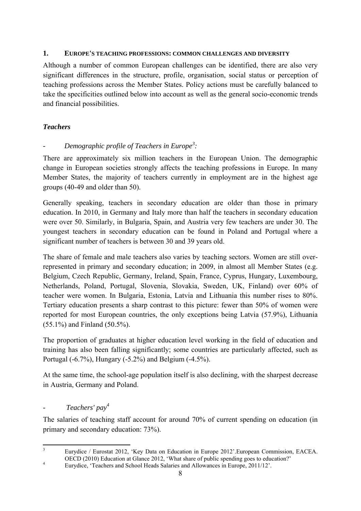#### <span id="page-7-0"></span>**1. EUROPE'S TEACHING PROFESSIONS: COMMON CHALLENGES AND DIVERSITY**

Although a number of common European challenges can be identified, there are also very significant differences in the structure, profile, organisation, social status or perception of teaching professions across the Member States. Policy actions must be carefully balanced to take the specificities outlined below into account as well as the general socio-economic trends and financial possibilities.

# <span id="page-7-1"></span>*Teachers*

# <span id="page-7-2"></span>*- Demographic profile of Teachers in Europe<sup>3</sup> :*

There are approximately six million teachers in the European Union. The demographic change in European societies strongly affects the teaching professions in Europe. In many Member States, the majority of teachers currently in employment are in the highest age groups (40-49 and older than 50).

Generally speaking, teachers in secondary education are older than those in primary education. In 2010, in Germany and Italy more than half the teachers in secondary education were over 50. Similarly, in Bulgaria, Spain, and Austria very few teachers are under 30. The youngest teachers in secondary education can be found in Poland and Portugal where a significant number of teachers is between 30 and 39 years old.

The share of female and male teachers also varies by teaching sectors. Women are still overrepresented in primary and secondary education; in 2009, in almost all Member States (e.g. Belgium, Czech Republic, Germany, Ireland, Spain, France, Cyprus, Hungary, Luxembourg, Netherlands, Poland, Portugal, Slovenia, Slovakia, Sweden, UK, Finland) over 60% of teacher were women. In Bulgaria, Estonia, Latvia and Lithuania this number rises to 80%. Tertiary education presents a sharp contrast to this picture: fewer than 50% of women were reported for most European countries, the only exceptions being Latvia (57.9%), Lithuania (55.1%) and Finland (50.5%).

The proportion of graduates at higher education level working in the field of education and training has also been falling significantly; some countries are particularly affected, such as Portugal (-6.7%), Hungary (-5.2%) and Belgium (-4.5%).

At the same time, the school-age population itself is also declining, with the sharpest decrease in Austria, Germany and Poland.

# <span id="page-7-3"></span>*- Teachers' pay4*

The salaries of teaching staff account for around 70% of current spending on education (in primary and secondary education: 73%).

 $\frac{1}{3}$  Eurydice / Eurostat 2012, 'Key Data on Education in Europe 2012'.European Commission, EACEA. OECD (2010) Education at Glance 2012, 'What share of public spending goes to education?'

Eurydice, 'Teachers and School Heads Salaries and Allowances in Europe, 2011/12'.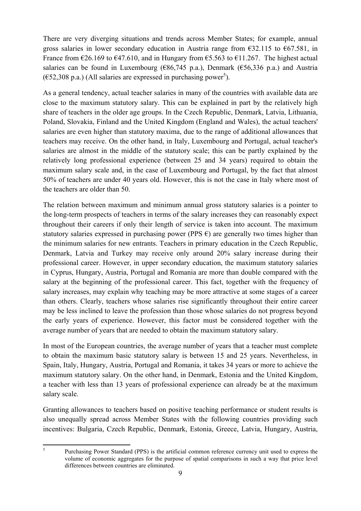There are very diverging situations and trends across Member States; for example, annual gross salaries in lower secondary education in Austria range from  $\epsilon$ 32.115 to  $\epsilon$ 67.581, in France from  $\epsilon$ 26.169 to  $\epsilon$ 47.610, and in Hungary from  $\epsilon$ 5.563 to  $\epsilon$ 11.267. The highest actual salaries can be found in Luxembourg ( $\epsilon$ 86,745 p.a.), Denmark ( $\epsilon$ 56,336 p.a.) and Austria  $(652,308 \text{ p.a.})$  (All salaries are expressed in purchasing power<sup>5</sup>).

As a general tendency, actual teacher salaries in many of the countries with available data are close to the maximum statutory salary. This can be explained in part by the relatively high share of teachers in the older age groups. In the Czech Republic, Denmark, Latvia, Lithuania, Poland, Slovakia, Finland and the United Kingdom (England and Wales), the actual teachers' salaries are even higher than statutory maxima, due to the range of additional allowances that teachers may receive. On the other hand, in Italy, Luxembourg and Portugal, actual teacher's salaries are almost in the middle of the statutory scale; this can be partly explained by the relatively long professional experience (between 25 and 34 years) required to obtain the maximum salary scale and, in the case of Luxembourg and Portugal, by the fact that almost 50% of teachers are under 40 years old. However, this is not the case in Italy where most of the teachers are older than 50.

The relation between maximum and minimum annual gross statutory salaries is a pointer to the long-term prospects of teachers in terms of the salary increases they can reasonably expect throughout their careers if only their length of service is taken into account. The maximum statutory salaries expressed in purchasing power (PPS  $\epsilon$ ) are generally two times higher than the minimum salaries for new entrants. Teachers in primary education in the Czech Republic, Denmark, Latvia and Turkey may receive only around 20% salary increase during their professional career. However, in upper secondary education, the maximum statutory salaries in Cyprus, Hungary, Austria, Portugal and Romania are more than double compared with the salary at the beginning of the professional career. This fact, together with the frequency of salary increases, may explain why teaching may be more attractive at some stages of a career than others. Clearly, teachers whose salaries rise significantly throughout their entire career may be less inclined to leave the profession than those whose salaries do not progress beyond the early years of experience. However, this factor must be considered together with the average number of years that are needed to obtain the maximum statutory salary.

In most of the European countries, the average number of years that a teacher must complete to obtain the maximum basic statutory salary is between 15 and 25 years. Nevertheless, in Spain, Italy, Hungary, Austria, Portugal and Romania, it takes 34 years or more to achieve the maximum statutory salary. On the other hand, in Denmark, Estonia and the United Kingdom, a teacher with less than 13 years of professional experience can already be at the maximum salary scale.

Granting allowances to teachers based on positive teaching performance or student results is also unequally spread across Member States with the following countries providing such incentives: Bulgaria, Czech Republic, Denmark, Estonia, Greece, Latvia, Hungary, Austria,

 $\frac{1}{5}$ 

Purchasing Power Standard (PPS) is the artificial common reference currency unit used to express the volume of economic aggregates for the purpose of spatial comparisons in such a way that price level differences between countries are eliminated.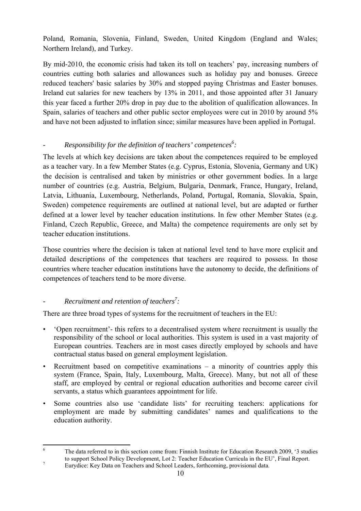Poland, Romania, Slovenia, Finland, Sweden, United Kingdom (England and Wales; Northern Ireland), and Turkey.

By mid-2010, the economic crisis had taken its toll on teachers' pay, increasing numbers of countries cutting both salaries and allowances such as holiday pay and bonuses. Greece reduced teachers' basic salaries by 30% and stopped paying Christmas and Easter bonuses. Ireland cut salaries for new teachers by 13% in 2011, and those appointed after 31 January this year faced a further 20% drop in pay due to the abolition of qualification allowances. In Spain, salaries of teachers and other public sector employees were cut in 2010 by around 5% and have not been adjusted to inflation since; similar measures have been applied in Portugal.

# <span id="page-9-0"></span>*-* Responsibility for the definition of teachers' competences<sup>6</sup>:

The levels at which key decisions are taken about the competences required to be employed as a teacher vary. In a few Member States (e.g. Cyprus, Estonia, Slovenia, Germany and UK) the decision is centralised and taken by ministries or other government bodies. In a large number of countries (e.g. Austria, Belgium, Bulgaria, Denmark, France, Hungary, Ireland, Latvia, Lithuania, Luxembourg, Netherlands, Poland, Portugal, Romania, Slovakia, Spain, Sweden) competence requirements are outlined at national level, but are adapted or further defined at a lower level by teacher education institutions. In few other Member States (e.g. Finland, Czech Republic, Greece, and Malta) the competence requirements are only set by teacher education institutions.

Those countries where the decision is taken at national level tend to have more explicit and detailed descriptions of the competences that teachers are required to possess. In those countries where teacher education institutions have the autonomy to decide, the definitions of competences of teachers tend to be more diverse.

# <span id="page-9-1"></span>*- Recruitment and retention of teachers<sup>7</sup> :*

There are three broad types of systems for the recruitment of teachers in the EU:

- 'Open recruitment'- this refers to a decentralised system where recruitment is usually the responsibility of the school or local authorities. This system is used in a vast majority of European countries. Teachers are in most cases directly employed by schools and have contractual status based on general employment legislation.
- Recruitment based on competitive examinations  $-$  a minority of countries apply this system (France, Spain, Italy, Luxembourg, Malta, Greece). Many, but not all of these staff, are employed by central or regional education authorities and become career civil servants, a status which guarantees appointment for life.
- Some countries also use 'candidate lists' for recruiting teachers: applications for employment are made by submitting candidates' names and qualifications to the education authority.

 $\frac{1}{6}$  The data referred to in this section come from: Finnish Institute for Education Research 2009, '3 studies to support School Policy Development, Lot 2: Teacher Education Curricula in the EU', Final Report.<br>
Function: Key Dete on Teachers and School Leaders, fortheoming, provisional data

Eurydice: Key Data on Teachers and School Leaders, forthcoming, provisional data.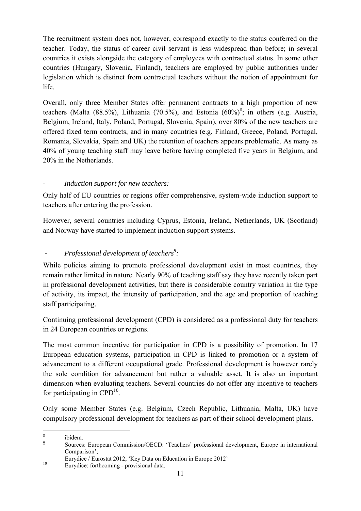The recruitment system does not, however, correspond exactly to the status conferred on the teacher. Today, the status of career civil servant is less widespread than before; in several countries it exists alongside the category of employees with contractual status. In some other countries (Hungary, Slovenia, Finland), teachers are employed by public authorities under legislation which is distinct from contractual teachers without the notion of appointment for life.

Overall, only three Member States offer permanent contracts to a high proportion of new teachers (Malta (88.5%), Lithuania (70.5%), and Estonia  $(60\%)^8$ ; in others (e.g. Austria, Belgium, Ireland, Italy, Poland, Portugal, Slovenia, Spain), over 80% of the new teachers are offered fixed term contracts, and in many countries (e.g. Finland, Greece, Poland, Portugal, Romania, Slovakia, Spain and UK) the retention of teachers appears problematic. As many as 40% of young teaching staff may leave before having completed five years in Belgium, and 20% in the Netherlands.

# <span id="page-10-0"></span>*- Induction support for new teachers:*

Only half of EU countries or regions offer comprehensive, system-wide induction support to teachers after entering the profession.

However, several countries including Cyprus, Estonia, Ireland, Netherlands, UK (Scotland) and Norway have started to implement induction support systems.

# <span id="page-10-1"></span>*- Professional development of teachers<sup>9</sup>:*

While policies aiming to promote professional development exist in most countries, they remain rather limited in nature. Nearly 90% of teaching staff say they have recently taken part in professional development activities, but there is considerable country variation in the type of activity, its impact, the intensity of participation, and the age and proportion of teaching staff participating.

Continuing professional development (CPD) is considered as a professional duty for teachers in 24 European countries or regions.

The most common incentive for participation in CPD is a possibility of promotion. In 17 European education systems, participation in CPD is linked to promotion or a system of advancement to a different occupational grade. Professional development is however rarely the sole condition for advancement but rather a valuable asset. It is also an important dimension when evaluating teachers. Several countries do not offer any incentive to teachers for participating in  $CPD^{10}$ .

Only some Member States (e.g. Belgium, Czech Republic, Lithuania, Malta, UK) have compulsory professional development for teachers as part of their school development plans.

 $\frac{1}{8}$ ibidem.

<sup>9</sup> Sources: European Commission/OECD: 'Teachers' professional development, Europe in international Comparison';

Eurydice / Eurostat 2012, 'Key Data on Education in Europe 2012'<br>
Eurydice: forthcoming - provisional data.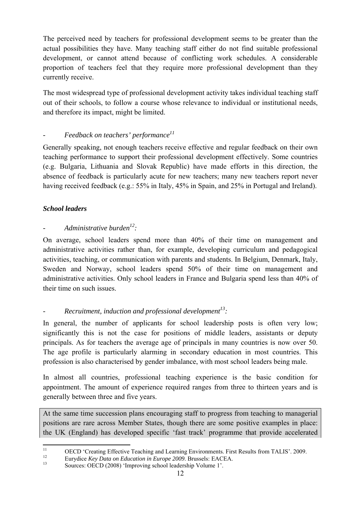The perceived need by teachers for professional development seems to be greater than the actual possibilities they have. Many teaching staff either do not find suitable professional development, or cannot attend because of conflicting work schedules. A considerable proportion of teachers feel that they require more professional development than they currently receive.

The most widespread type of professional development activity takes individual teaching staff out of their schools, to follow a course whose relevance to individual or institutional needs, and therefore its impact, might be limited.

# <span id="page-11-0"></span>*- Feedback on teachers' performance11*

Generally speaking, not enough teachers receive effective and regular feedback on their own teaching performance to support their professional development effectively. Some countries (e.g. Bulgaria, Lithuania and Slovak Republic) have made efforts in this direction, the absence of feedback is particularly acute for new teachers; many new teachers report never having received feedback (e.g.: 55% in Italy, 45% in Spain, and 25% in Portugal and Ireland).

# <span id="page-11-1"></span>*School leaders*

# <span id="page-11-2"></span>*-* Administrative burden<sup>12</sup>:

On average, school leaders spend more than 40% of their time on management and administrative activities rather than, for example, developing curriculum and pedagogical activities, teaching, or communication with parents and students. In Belgium, Denmark, Italy, Sweden and Norway, school leaders spend 50% of their time on management and administrative activities. Only school leaders in France and Bulgaria spend less than 40% of their time on such issues.

# <span id="page-11-3"></span>*- Recruitment, induction and professional development<sup>13</sup> :*

In general, the number of applicants for school leadership posts is often very low; significantly this is not the case for positions of middle leaders, assistants or deputy principals. As for teachers the average age of principals in many countries is now over 50. The age profile is particularly alarming in secondary education in most countries. This profession is also characterised by gender imbalance, with most school leaders being male.

In almost all countries, professional teaching experience is the basic condition for appointment. The amount of experience required ranges from three to thirteen years and is generally between three and five years.

At the same time succession plans encouraging staff to progress from teaching to managerial positions are rare across Member States, though there are some positive examples in place: the UK (England) has developed specific 'fast track' programme that provide accelerated

 $11$ <sup>11</sup> OECD 'Creating Effective Teaching and Learning Environments. First Results from TALIS'. 2009.<br>
<sup>12</sup> Eurydice *Key Data on Education in Europe 2009*. Brussels: EACEA.<br>
<sup>13</sup> Sources: OECD (2008) 'Improving school leader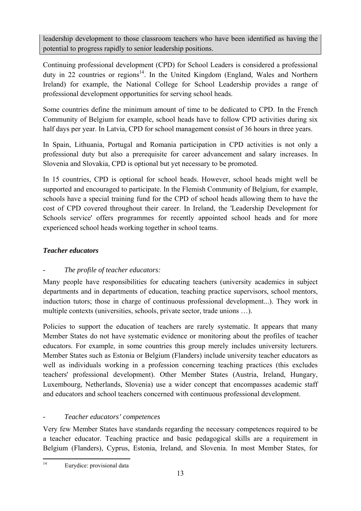leadership development to those classroom teachers who have been identified as having the potential to progress rapidly to senior leadership positions.

Continuing professional development (CPD) for School Leaders is considered a professional duty in 22 countries or regions<sup>14</sup>. In the United Kingdom (England, Wales and Northern Ireland) for example, the National College for School Leadership provides a range of professional development opportunities for serving school heads.

Some countries define the minimum amount of time to be dedicated to CPD. In the French Community of Belgium for example, school heads have to follow CPD activities during six half days per year. In Latvia, CPD for school management consist of 36 hours in three years.

In Spain, Lithuania, Portugal and Romania participation in CPD activities is not only a professional duty but also a prerequisite for career advancement and salary increases. In Slovenia and Slovakia, CPD is optional but yet necessary to be promoted.

In 15 countries, CPD is optional for school heads. However, school heads might well be supported and encouraged to participate. In the Flemish Community of Belgium, for example, schools have a special training fund for the CPD of school heads allowing them to have the cost of CPD covered throughout their career. In Ireland, the 'Leadership Development for Schools service' offers programmes for recently appointed school heads and for more experienced school heads working together in school teams.

# <span id="page-12-0"></span>*Teacher educators*

# <span id="page-12-1"></span>*- The profile of teacher educators:*

Many people have responsibilities for educating teachers (university academics in subject departments and in departments of education, teaching practice supervisors, school mentors, induction tutors; those in charge of continuous professional development...). They work in multiple contexts (universities, schools, private sector, trade unions …).

Policies to support the education of teachers are rarely systematic. It appears that many Member States do not have systematic evidence or monitoring about the profiles of teacher educators. For example, in some countries this group merely includes university lecturers. Member States such as Estonia or Belgium (Flanders) include university teacher educators as well as individuals working in a profession concerning teaching practices (this excludes teachers' professional development). Other Member States (Austria, Ireland, Hungary, Luxembourg, Netherlands, Slovenia) use a wider concept that encompasses academic staff and educators and school teachers concerned with continuous professional development.

# <span id="page-12-2"></span>*- Teacher educators' competences*

Very few Member States have standards regarding the necessary competences required to be a teacher educator. Teaching practice and basic pedagogical skills are a requirement in Belgium (Flanders), Cyprus, Estonia, Ireland, and Slovenia. In most Member States, for

 $14$ Eurydice: provisional data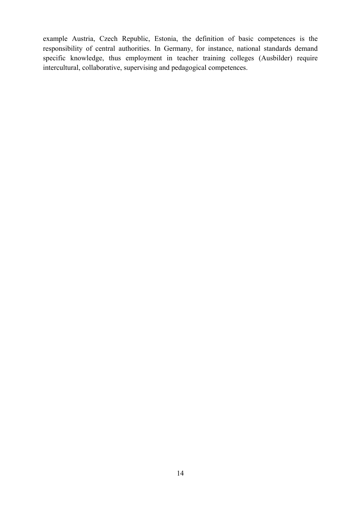example Austria, Czech Republic, Estonia, the definition of basic competences is the responsibility of central authorities. In Germany, for instance, national standards demand specific knowledge, thus employment in teacher training colleges (Ausbilder) require intercultural, collaborative, supervising and pedagogical competences.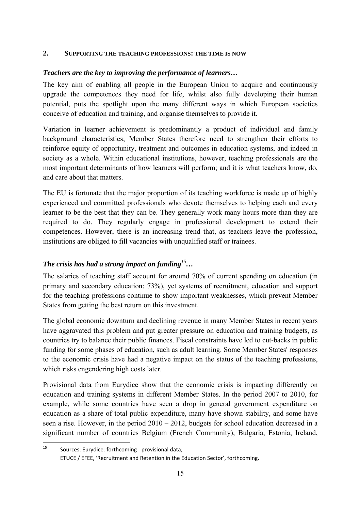#### <span id="page-14-0"></span>**2. SUPPORTING THE TEACHING PROFESSIONS: THE TIME IS NOW**

#### <span id="page-14-1"></span>*Teachers are the key to improving the performance of learners…*

The key aim of enabling all people in the European Union to acquire and continuously upgrade the competences they need for life, whilst also fully developing their human potential, puts the spotlight upon the many different ways in which European societies conceive of education and training, and organise themselves to provide it.

Variation in learner achievement is predominantly a product of individual and family background characteristics; Member States therefore need to strengthen their efforts to reinforce equity of opportunity, treatment and outcomes in education systems, and indeed in society as a whole. Within educational institutions, however, teaching professionals are the most important determinants of how learners will perform; and it is what teachers know, do, and care about that matters.

The EU is fortunate that the major proportion of its teaching workforce is made up of highly experienced and committed professionals who devote themselves to helping each and every learner to be the best that they can be. They generally work many hours more than they are required to do. They regularly engage in professional development to extend their competences. However, there is an increasing trend that, as teachers leave the profession, institutions are obliged to fill vacancies with unqualified staff or trainees.

# <span id="page-14-2"></span>*The crisis has had a strong impact on funding<sup>15</sup>…*

The salaries of teaching staff account for around 70% of current spending on education (in primary and secondary education: 73%), yet systems of recruitment, education and support for the teaching professions continue to show important weaknesses, which prevent Member States from getting the best return on this investment.

The global economic downturn and declining revenue in many Member States in recent years have aggravated this problem and put greater pressure on education and training budgets, as countries try to balance their public finances. Fiscal constraints have led to cut-backs in public funding for some phases of education, such as adult learning. Some Member States' responses to the economic crisis have had a negative impact on the status of the teaching professions, which risks engendering high costs later.

Provisional data from Eurydice show that the economic crisis is impacting differently on education and training systems in different Member States. In the period 2007 to 2010, for example, while some countries have seen a drop in general government expenditure on education as a share of total public expenditure, many have shown stability, and some have seen a rise. However, in the period 2010 – 2012, budgets for school education decreased in a significant number of countries Belgium (French Community), Bulgaria, Estonia, Ireland,

 $15$ Sources: Eurydice: forthcoming - provisional data; ETUCE / EFEE, 'Recruitment and Retention in the Education Sector', forthcoming.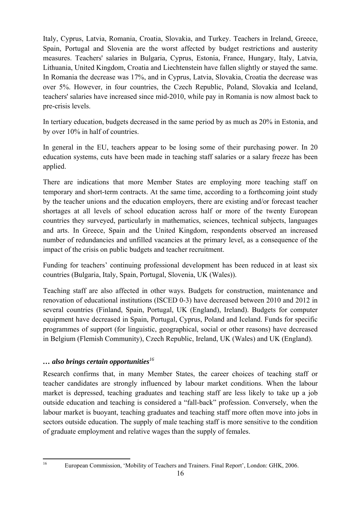Italy, Cyprus, Latvia, Romania, Croatia, Slovakia, and Turkey. Teachers in Ireland, Greece, Spain, Portugal and Slovenia are the worst affected by budget restrictions and austerity measures. Teachers' salaries in Bulgaria, Cyprus, Estonia, France, Hungary, Italy, Latvia, Lithuania, United Kingdom, Croatia and Liechtenstein have fallen slightly or stayed the same. In Romania the decrease was 17%, and in Cyprus, Latvia, Slovakia, Croatia the decrease was over 5%. However, in four countries, the Czech Republic, Poland, Slovakia and Iceland, teachers' salaries have increased since mid-2010, while pay in Romania is now almost back to pre-crisis levels.

In tertiary education, budgets decreased in the same period by as much as 20% in Estonia, and by over 10% in half of countries.

In general in the EU, teachers appear to be losing some of their purchasing power. In 20 education systems, cuts have been made in teaching staff salaries or a salary freeze has been applied.

There are indications that more Member States are employing more teaching staff on temporary and short-term contracts. At the same time, according to a forthcoming joint study by the teacher unions and the education employers, there are existing and/or forecast teacher shortages at all levels of school education across half or more of the twenty European countries they surveyed, particularly in mathematics, sciences, technical subjects, languages and arts. In Greece, Spain and the United Kingdom, respondents observed an increased number of redundancies and unfilled vacancies at the primary level, as a consequence of the impact of the crisis on public budgets and teacher recruitment.

Funding for teachers' continuing professional development has been reduced in at least six countries (Bulgaria, Italy, Spain, Portugal, Slovenia, UK (Wales)).

Teaching staff are also affected in other ways. Budgets for construction, maintenance and renovation of educational institutions (ISCED 0-3) have decreased between 2010 and 2012 in several countries (Finland, Spain, Portugal, UK (England), Ireland). Budgets for computer equipment have decreased in Spain, Portugal, Cyprus, Poland and Iceland. Funds for specific programmes of support (for linguistic, geographical, social or other reasons) have decreased in Belgium (Flemish Community), Czech Republic, Ireland, UK (Wales) and UK (England).

## <span id="page-15-0"></span>*… also brings certain opportunities<sup>16</sup>*

Research confirms that, in many Member States, the career choices of teaching staff or teacher candidates are strongly influenced by labour market conditions. When the labour market is depressed, teaching graduates and teaching staff are less likely to take up a job outside education and teaching is considered a "fall-back" profession. Conversely, when the labour market is buoyant, teaching graduates and teaching staff more often move into jobs in sectors outside education. The supply of male teaching staff is more sensitive to the condition of graduate employment and relative wages than the supply of females.

16

<sup>16</sup> European Commission, 'Mobility of Teachers and Trainers. Final Report', London: GHK, 2006.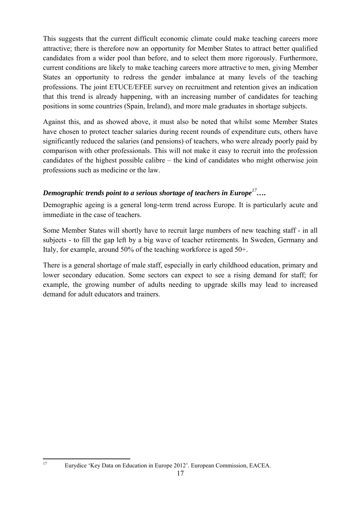This suggests that the current difficult economic climate could make teaching careers more attractive; there is therefore now an opportunity for Member States to attract better qualified candidates from a wider pool than before, and to select them more rigorously. Furthermore, current conditions are likely to make teaching careers more attractive to men, giving Member States an opportunity to redress the gender imbalance at many levels of the teaching professions. The joint ETUCE/EFEE survey on recruitment and retention gives an indication that this trend is already happening, with an increasing number of candidates for teaching positions in some countries (Spain, Ireland), and more male graduates in shortage subjects.

Against this, and as showed above, it must also be noted that whilst some Member States have chosen to protect teacher salaries during recent rounds of expenditure cuts, others have significantly reduced the salaries (and pensions) of teachers, who were already poorly paid by comparison with other professionals. This will not make it easy to recruit into the profession candidates of the highest possible calibre – the kind of candidates who might otherwise join professions such as medicine or the law.

## <span id="page-16-0"></span>*Demographic trends point to a serious shortage of teachers in Europe<sup>17</sup>….*

Demographic ageing is a general long-term trend across Europe. It is particularly acute and immediate in the case of teachers.

Some Member States will shortly have to recruit large numbers of new teaching staff - in all subjects - to fill the gap left by a big wave of teacher retirements. In Sweden, Germany and Italy, for example, around 50% of the teaching workforce is aged 50+.

There is a general shortage of male staff, especially in early childhood education, primary and lower secondary education. Some sectors can expect to see a rising demand for staff; for example, the growing number of adults needing to upgrade skills may lead to increased demand for adult educators and trainers.

 $17$ 

<sup>17</sup> Eurydice 'Key Data on Education in Europe 2012'. European Commission, EACEA.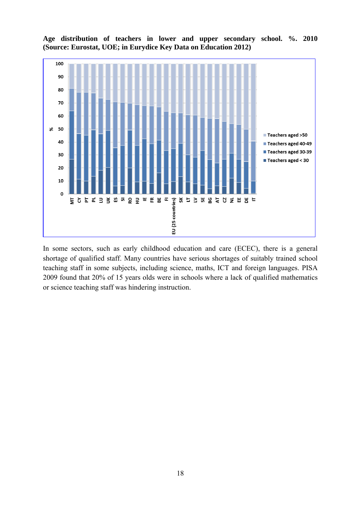

**Age distribution of teachers in lower and upper secondary school. %. 2010 (Source: Eurostat, UOE; in Eurydice Key Data on Education 2012)** 

In some sectors, such as early childhood education and care (ECEC), there is a general shortage of qualified staff. Many countries have serious shortages of suitably trained school teaching staff in some subjects, including science, maths, ICT and foreign languages. PISA 2009 found that 20% of 15 years olds were in schools where a lack of qualified mathematics or science teaching staff was hindering instruction.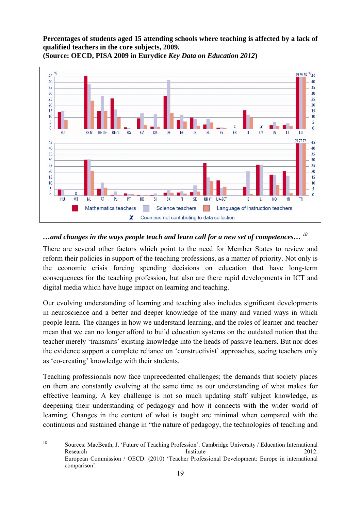**Percentages of students aged 15 attending schools where teaching is affected by a lack of qualified teachers in the core subjects, 2009.** 



**(Source: OECD, PISA 2009 in Eurydice** *Key Data on Education 2012***)** 

## <span id="page-18-0"></span>*…and changes in the ways people teach and learn call for a new set of competences… <sup>18</sup>*

There are several other factors which point to the need for Member States to review and reform their policies in support of the teaching professions, as a matter of priority. Not only is the economic crisis forcing spending decisions on education that have long-term consequences for the teaching profession, but also are there rapid developments in ICT and digital media which have huge impact on learning and teaching.

Our evolving understanding of learning and teaching also includes significant developments in neuroscience and a better and deeper knowledge of the many and varied ways in which people learn. The changes in how we understand learning, and the roles of learner and teacher mean that we can no longer afford to build education systems on the outdated notion that the teacher merely 'transmits' existing knowledge into the heads of passive learners. But nor does the evidence support a complete reliance on 'constructivist' approaches, seeing teachers only as 'co-creating' knowledge with their students.

Teaching professionals now face unprecedented challenges; the demands that society places on them are constantly evolving at the same time as our understanding of what makes for effective learning. A key challenge is not so much updating staff subject knowledge, as deepening their understanding of pedagogy and how it connects with the wider world of learning. Changes in the content of what is taught are minimal when compared with the continuous and sustained change in "the nature of pedagogy, the technologies of teaching and

<sup>18</sup> 18 Sources: MacBeath, J. 'Future of Teaching Profession'. Cambridge University / Education International Research Institute 2012. European Commission / OECD: (2010) 'Teacher Professional Development: Europe in international comparison'.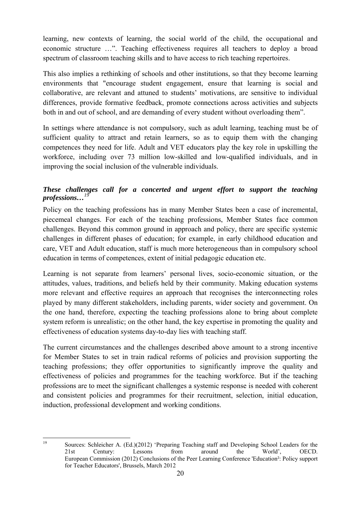learning, new contexts of learning, the social world of the child, the occupational and economic structure …". Teaching effectiveness requires all teachers to deploy a broad spectrum of classroom teaching skills and to have access to rich teaching repertoires.

This also implies a rethinking of schools and other institutions, so that they become learning environments that "encourage student engagement, ensure that learning is social and collaborative, are relevant and attuned to students' motivations, are sensitive to individual differences, provide formative feedback, promote connections across activities and subjects both in and out of school, and are demanding of every student without overloading them".

In settings where attendance is not compulsory, such as adult learning, teaching must be of sufficient quality to attract and retain learners, so as to equip them with the changing competences they need for life. Adult and VET educators play the key role in upskilling the workforce, including over 73 million low-skilled and low-qualified individuals, and in improving the social inclusion of the vulnerable individuals.

## <span id="page-19-0"></span>*These challenges call for a concerted and urgent effort to support the teaching*   $professions...<sup>1</sup>$

Policy on the teaching professions has in many Member States been a case of incremental, piecemeal changes. For each of the teaching professions, Member States face common challenges. Beyond this common ground in approach and policy, there are specific systemic challenges in different phases of education; for example, in early childhood education and care, VET and Adult education, staff is much more heterogeneous than in compulsory school education in terms of competences, extent of initial pedagogic education etc.

Learning is not separate from learners' personal lives, socio-economic situation, or the attitudes, values, traditions, and beliefs held by their community. Making education systems more relevant and effective requires an approach that recognises the interconnecting roles played by many different stakeholders, including parents, wider society and government. On the one hand, therefore, expecting the teaching professions alone to bring about complete system reform is unrealistic; on the other hand, the key expertise in promoting the quality and effectiveness of education systems day-to-day lies with teaching staff.

The current circumstances and the challenges described above amount to a strong incentive for Member States to set in train radical reforms of policies and provision supporting the teaching professions; they offer opportunities to significantly improve the quality and effectiveness of policies and programmes for the teaching workforce. But if the teaching professions are to meet the significant challenges a systemic response is needed with coherent and consistent policies and programmes for their recruitment, selection, initial education, induction, professional development and working conditions.

 $19$ 

<sup>19</sup> Sources: Schleicher A. (Ed.)(2012) 'Preparing Teaching staff and Developing School Leaders for the 21st Century: Lessons from around the World', OECD. European Commission (2012) Conclusions of the Peer Learning Conference 'Education²: Policy support for Teacher Educators', Brussels, March 2012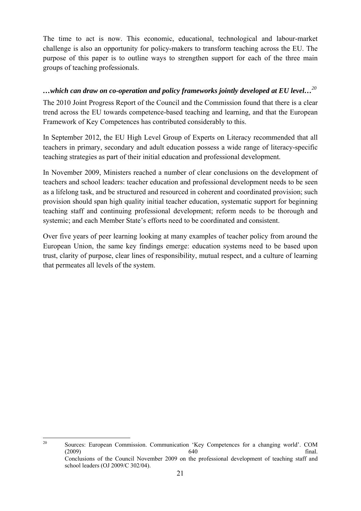The time to act is now. This economic, educational, technological and labour-market challenge is also an opportunity for policy-makers to transform teaching across the EU. The purpose of this paper is to outline ways to strengthen support for each of the three main groups of teaching professionals.

#### <span id="page-20-0"></span>*…which can draw on co-operation and policy frameworks jointly developed at EU level…<sup>20</sup>*

The 2010 Joint Progress Report of the Council and the Commission found that there is a clear trend across the EU towards competence-based teaching and learning, and that the European Framework of Key Competences has contributed considerably to this.

In September 2012, the EU High Level Group of Experts on Literacy recommended that all teachers in primary, secondary and adult education possess a wide range of literacy-specific teaching strategies as part of their initial education and professional development.

In November 2009, Ministers reached a number of clear conclusions on the development of teachers and school leaders: teacher education and professional development needs to be seen as a lifelong task, and be structured and resourced in coherent and coordinated provision; such provision should span high quality initial teacher education, systematic support for beginning teaching staff and continuing professional development; reform needs to be thorough and systemic; and each Member State's efforts need to be coordinated and consistent.

Over five years of peer learning looking at many examples of teacher policy from around the European Union, the same key findings emerge: education systems need to be based upon trust, clarity of purpose, clear lines of responsibility, mutual respect, and a culture of learning that permeates all levels of the system.

<sup>20</sup> 20 Sources: European Commission. Communication 'Key Competences for a changing world'. COM  $(2009)$  final. Conclusions of the Council November 2009 on the professional development of teaching staff and school leaders (OJ 2009/C 302/04).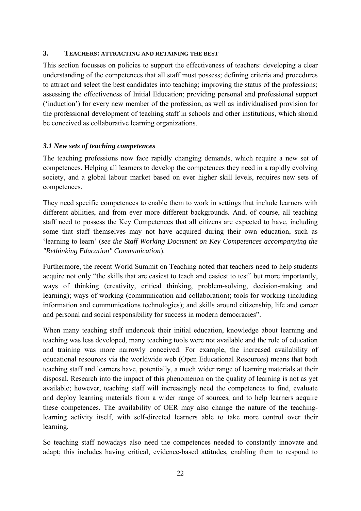#### <span id="page-21-0"></span>**3. TEACHERS: ATTRACTING AND RETAINING THE BEST**

This section focusses on policies to support the effectiveness of teachers: developing a clear understanding of the competences that all staff must possess; defining criteria and procedures to attract and select the best candidates into teaching; improving the status of the professions; assessing the effectiveness of Initial Education; providing personal and professional support ('induction') for every new member of the profession, as well as individualised provision for the professional development of teaching staff in schools and other institutions, which should be conceived as collaborative learning organizations.

#### <span id="page-21-1"></span>*3.1 New sets of teaching competences*

The teaching professions now face rapidly changing demands, which require a new set of competences. Helping all learners to develop the competences they need in a rapidly evolving society, and a global labour market based on ever higher skill levels, requires new sets of competences.

They need specific competences to enable them to work in settings that include learners with different abilities, and from ever more different backgrounds. And, of course, all teaching staff need to possess the Key Competences that all citizens are expected to have, including some that staff themselves may not have acquired during their own education, such as 'learning to learn' (*see the Staff Working Document on Key Competences accompanying the "Rethinking Education" Communication*).

Furthermore, the recent World Summit on Teaching noted that teachers need to help students acquire not only "the skills that are easiest to teach and easiest to test" but more importantly, ways of thinking (creativity, critical thinking, problem-solving, decision-making and learning); ways of working (communication and collaboration); tools for working (including information and communications technologies); and skills around citizenship, life and career and personal and social responsibility for success in modern democracies".

When many teaching staff undertook their initial education, knowledge about learning and teaching was less developed, many teaching tools were not available and the role of education and training was more narrowly conceived. For example, the increased availability of educational resources via the worldwide web (Open Educational Resources) means that both teaching staff and learners have, potentially, a much wider range of learning materials at their disposal. Research into the impact of this phenomenon on the quality of learning is not as yet available; however, teaching staff will increasingly need the competences to find, evaluate and deploy learning materials from a wider range of sources, and to help learners acquire these competences. The availability of OER may also change the nature of the teachinglearning activity itself, with self-directed learners able to take more control over their learning.

So teaching staff nowadays also need the competences needed to constantly innovate and adapt; this includes having critical, evidence-based attitudes, enabling them to respond to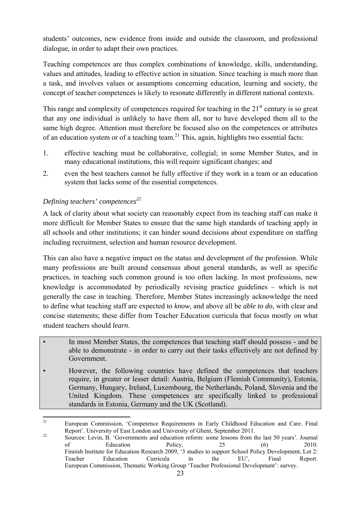students' outcomes, new evidence from inside and outside the classroom, and professional dialogue, in order to adapt their own practices.

Teaching competences are thus complex combinations of knowledge, skills, understanding, values and attitudes, leading to effective action in situation. Since teaching is much more than a task, and involves values or assumptions concerning education, learning and society, the concept of teacher competences is likely to resonate differently in different national contexts.

This range and complexity of competences required for teaching in the  $21<sup>st</sup>$  century is so great that any one individual is unlikely to have them all, nor to have developed them all to the same high degree. Attention must therefore be focused also on the competences or attributes of an education system or of a teaching team.<sup>21</sup> This, again, highlights two essential facts:

- 1. effective teaching must be collaborative, collegial; in some Member States, and in many educational institutions, this will require significant changes; and
- 2. even the best teachers cannot be fully effective if they work in a team or an education system that lacks some of the essential competences.

# <span id="page-22-0"></span>*Defining teachers' competences*<sup>22</sup>

A lack of clarity about what society can reasonably expect from its teaching staff can make it more difficult for Member States to ensure that the same high standards of teaching apply in all schools and other institutions; it can hinder sound decisions about expenditure on staffing including recruitment, selection and human resource development.

This can also have a negative impact on the status and development of the profession. While many professions are built around consensus about general standards, as well as specific practices, in teaching such common ground is too often lacking. In most professions, new knowledge is accommodated by periodically revising practice guidelines – which is not generally the case in teaching. Therefore, Member States increasingly acknowledge the need to define what teaching staff are expected to *know,* and above all be *able to do*, with clear and concise statements; these differ from Teacher Education curricula that focus mostly on what student teachers should *learn*.

- In most Member States, the competences that teaching staff should possess and be able to demonstrate - in order to carry out their tasks effectively are not defined by Government.
- However, the following countries have defined the competences that teachers require, in greater or lesser detail: Austria, Belgium (Flemish Community), Estonia, Germany, Hungary, Ireland, Luxembourg, the Netherlands, Poland, Slovenia and the United Kingdom. These competences are specifically linked to professional standards in Estonia, Germany and the UK (Scotland).

 $21$ 21 European Commission, 'Competence Requirements in Early Childhood Education and Care. Final Report'. University of East London and University of Ghent, September 2011.<br><sup>22</sup> Sources: Levin, B. 'Governments and education reform: some lessons from the last 50 years'. Journal

of Education Policy, 25 (6) 2010. Finnish Institute for Education Research 2009, '3 studies to support School Policy Development, Lot 2: Teacher Education Curricula in the EU', Final Report. European Commission, Thematic Working Group 'Teacher Professional Development': survey.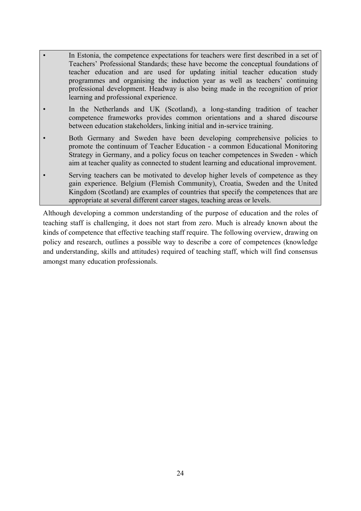- In Estonia, the competence expectations for teachers were first described in a set of Teachers' Professional Standards; these have become the conceptual foundations of teacher education and are used for updating initial teacher education study programmes and organising the induction year as well as teachers' continuing professional development. Headway is also being made in the recognition of prior learning and professional experience.
- In the Netherlands and UK (Scotland), a long-standing tradition of teacher competence frameworks provides common orientations and a shared discourse between education stakeholders, linking initial and in-service training.
- Both Germany and Sweden have been developing comprehensive policies to promote the continuum of Teacher Education - a common Educational Monitoring Strategy in Germany, and a policy focus on teacher competences in Sweden - which aim at teacher quality as connected to student learning and educational improvement.
- Serving teachers can be motivated to develop higher levels of competence as they gain experience. Belgium (Flemish Community), Croatia, Sweden and the United Kingdom (Scotland) are examples of countries that specify the competences that are appropriate at several different career stages, teaching areas or levels.

Although developing a common understanding of the purpose of education and the roles of teaching staff is challenging, it does not start from zero. Much is already known about the kinds of competence that effective teaching staff require. The following overview, drawing on policy and research, outlines a possible way to describe a core of competences (knowledge and understanding, skills and attitudes) required of teaching staff, which will find consensus amongst many education professionals.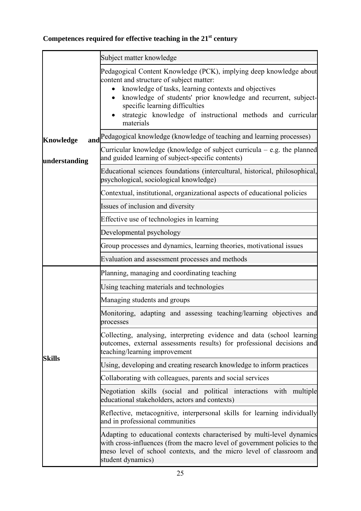# Competences required for effective teaching in the 21<sup>st</sup> century

|               | Subject matter knowledge                                                                                                                                                                                                                                                                                                                                            |
|---------------|---------------------------------------------------------------------------------------------------------------------------------------------------------------------------------------------------------------------------------------------------------------------------------------------------------------------------------------------------------------------|
|               | Pedagogical Content Knowledge (PCK), implying deep knowledge about<br>content and structure of subject matter:<br>knowledge of tasks, learning contexts and objectives<br>$\bullet$<br>knowledge of students' prior knowledge and recurrent, subject-<br>specific learning difficulties<br>strategic knowledge of instructional methods and curricular<br>materials |
| Knowledge     | and Pedagogical knowledge (knowledge of teaching and learning processes)                                                                                                                                                                                                                                                                                            |
| understanding | Curricular knowledge (knowledge of subject curricula $-$ e.g. the planned<br>and guided learning of subject-specific contents)                                                                                                                                                                                                                                      |
|               | Educational sciences foundations (intercultural, historical, philosophical,<br>psychological, sociological knowledge)                                                                                                                                                                                                                                               |
|               | Contextual, institutional, organizational aspects of educational policies                                                                                                                                                                                                                                                                                           |
|               | Issues of inclusion and diversity                                                                                                                                                                                                                                                                                                                                   |
|               | Effective use of technologies in learning                                                                                                                                                                                                                                                                                                                           |
|               | Developmental psychology                                                                                                                                                                                                                                                                                                                                            |
|               | Group processes and dynamics, learning theories, motivational issues                                                                                                                                                                                                                                                                                                |
|               | Evaluation and assessment processes and methods                                                                                                                                                                                                                                                                                                                     |
|               | Planning, managing and coordinating teaching                                                                                                                                                                                                                                                                                                                        |
|               | Using teaching materials and technologies                                                                                                                                                                                                                                                                                                                           |
|               | Managing students and groups                                                                                                                                                                                                                                                                                                                                        |
|               | Monitoring, adapting and assessing teaching/learning objectives and<br>processes                                                                                                                                                                                                                                                                                    |
| <b>Skills</b> | Collecting, analysing, interpreting evidence and data (school learning<br>outcomes, external assessments results) for professional decisions and<br>teaching/learning improvement                                                                                                                                                                                   |
|               | Using, developing and creating research knowledge to inform practices                                                                                                                                                                                                                                                                                               |
|               | Collaborating with colleagues, parents and social services                                                                                                                                                                                                                                                                                                          |
|               | Negotiation skills (social and political interactions with multiple<br>educational stakeholders, actors and contexts)                                                                                                                                                                                                                                               |
|               | Reflective, metacognitive, interpersonal skills for learning individually<br>and in professional communities                                                                                                                                                                                                                                                        |
|               | Adapting to educational contexts characterised by multi-level dynamics<br>with cross-influences (from the macro level of government policies to the<br>meso level of school contexts, and the micro level of classroom and<br>student dynamics)                                                                                                                     |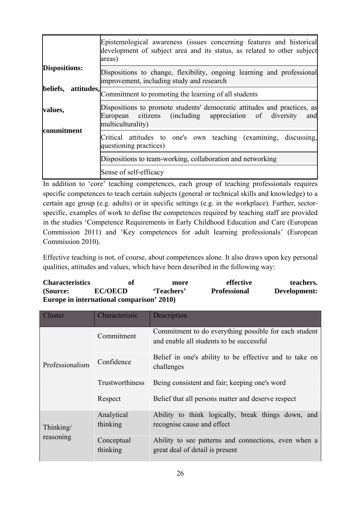|                        | Epistemological awareness (issues concerning features and historical<br>development of subject area and its status, as related to other subject<br>areas)         |  |  |
|------------------------|-------------------------------------------------------------------------------------------------------------------------------------------------------------------|--|--|
| <b>Dispositions:</b>   | Dispositions to change, flexibility, ongoing learning and professional<br>improvement, including study and research                                               |  |  |
| beliefs,<br>attitudes, | Commitment to promoting the learning of all students                                                                                                              |  |  |
| values,                | Dispositions to promote students' democratic attitudes and practices, as<br>citizens (including appreciation of diversity<br>European<br>and<br>multiculturality) |  |  |
| commitment             | Critical attitudes to one's own teaching (examining, discussing,<br>questioning practices)                                                                        |  |  |
|                        | Dispositions to team-working, collaboration and networking                                                                                                        |  |  |
|                        | Sense of self-efficacy                                                                                                                                            |  |  |

In addition to 'core' teaching competences, each group of teaching professionals requires specific competences to teach certain subjects (general or technical skills and knowledge) to a certain age group (e.g. adults) or in specific settings (e.g. in the workplace). Further, sectorspecific, examples of work to define the competences required by teaching staff are provided in the studies 'Competence Requirements in Early Childhood Education and Care (European Commission 2011) and 'Key competences for adult learning professionals' (European Commission 2010).

Effective teaching is not, of course, about competences alone. It also draws upon key personal qualities, attitudes and values, which have been described in the following way:

| <b>Characteristics</b>                    | of             | more       | effective           | teachers.    |  |
|-------------------------------------------|----------------|------------|---------------------|--------------|--|
| (Source:                                  | <b>EC/OECD</b> | 'Teachers' | <b>Professional</b> | Development: |  |
| Europe in international comparison' 2010) |                |            |                     |              |  |

| Cluster         | Characteristic         | Description                                                                                       |
|-----------------|------------------------|---------------------------------------------------------------------------------------------------|
|                 | Commitment             | Commitment to do everything possible for each student<br>and enable all students to be successful |
| Professionalism | Confidence             | Belief in one's ability to be effective and to take on<br>challenges                              |
|                 | Trustworthiness        | Being consistent and fair; keeping one's word                                                     |
|                 | Respect                | Belief that all persons matter and deserve respect                                                |
| Thinking/       | Analytical<br>thinking | Ability to think logically, break things down, and<br>recognise cause and effect                  |
| reasoning       | Conceptual<br>thinking | Ability to see patterns and connections, even when a<br>great deal of detail is present           |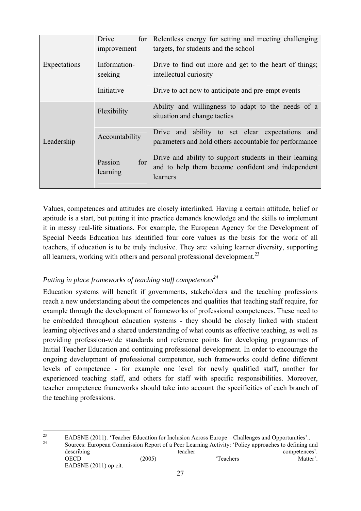|              | Drive<br>improvement       | for Relentless energy for setting and meeting challenging<br>targets, for students and the school                        |
|--------------|----------------------------|--------------------------------------------------------------------------------------------------------------------------|
| Expectations | Information-<br>seeking    | Drive to find out more and get to the heart of things;<br>intellectual curiosity                                         |
|              | Initiative                 | Drive to act now to anticipate and pre-empt events                                                                       |
|              | Flexibility                | Ability and willingness to adapt to the needs of a<br>situation and change tactics                                       |
| Leadership   | Accountability             | Drive and ability to set clear expectations and<br>parameters and hold others accountable for performance                |
|              | for<br>Passion<br>learning | Drive and ability to support students in their learning<br>and to help them become confident and independent<br>learners |

Values, competences and attitudes are closely interlinked. Having a certain attitude, belief or aptitude is a start, but putting it into practice demands knowledge and the skills to implement it in messy real-life situations. For example, the European Agency for the Development of Special Needs Education has identified four core values as the basis for the work of all teachers, if education is to be truly inclusive. They are: valuing learner diversity, supporting all learners, working with others and personal professional development.<sup>23</sup>

## <span id="page-26-0"></span>*Putting in place frameworks of teaching staff competences*<sup>24</sup>

Education systems will benefit if governments, stakeholders and the teaching professions reach a new understanding about the competences and qualities that teaching staff require, for example through the development of frameworks of professional competences. These need to be embedded throughout education systems - they should be closely linked with student learning objectives and a shared understanding of what counts as effective teaching, as well as providing profession-wide standards and reference points for developing programmes of Initial Teacher Education and continuing professional development. In order to encourage the ongoing development of professional competence, such frameworks could define different levels of competence - for example one level for newly qualified staff, another for experienced teaching staff, and others for staff with specific responsibilities. Moreover, teacher competence frameworks should take into account the specificities of each branch of the teaching professions.

 $\overline{2}$ <sup>23</sup> EADSNE (2011). 'Teacher Education for Inclusion Across Europe – Challenges and Opportunities'..<br>
<sup>24</sup> Sources: European Commission Report of a Peer Learning Activity: 'Policy approaches to defining and describing teacher teacher teacher competences'. OECD (2005) (2005) Teachers Matter'. EADSNE (2011) op cit.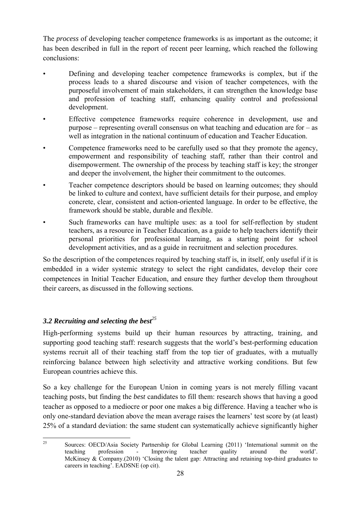The *process* of developing teacher competence frameworks is as important as the outcome; it has been described in full in the report of recent peer learning, which reached the following conclusions:

- Defining and developing teacher competence frameworks is complex, but if the process leads to a shared discourse and vision of teacher competences, with the purposeful involvement of main stakeholders, it can strengthen the knowledge base and profession of teaching staff, enhancing quality control and professional development.
- Effective competence frameworks require coherence in development, use and purpose – representing overall consensus on what teaching and education are for – as well as integration in the national continuum of education and Teacher Education.
- Competence frameworks need to be carefully used so that they promote the agency, empowerment and responsibility of teaching staff, rather than their control and disempowerment. The ownership of the process by teaching staff is key; the stronger and deeper the involvement, the higher their commitment to the outcomes.
- Teacher competence descriptors should be based on learning outcomes; they should be linked to culture and context, have sufficient details for their purpose, and employ concrete, clear, consistent and action-oriented language. In order to be effective, the framework should be stable, durable and flexible.
- Such frameworks can have multiple uses: as a tool for self-reflection by student teachers, as a resource in Teacher Education, as a guide to help teachers identify their personal priorities for professional learning, as a starting point for school development activities, and as a guide in recruitment and selection procedures.

So the description of the competences required by teaching staff is, in itself, only useful if it is embedded in a wider systemic strategy to select the right candidates, develop their core competences in Initial Teacher Education, and ensure they further develop them throughout their careers, as discussed in the following sections.

# <span id="page-27-0"></span>*3.2 Recruiting and selecting the best<sup>25</sup>*

High-performing systems build up their human resources by attracting, training, and supporting good teaching staff: research suggests that the world's best-performing education systems recruit all of their teaching staff from the top tier of graduates, with a mutually reinforcing balance between high selectivity and attractive working conditions. But few European countries achieve this.

So a key challenge for the European Union in coming years is not merely filling vacant teaching posts, but finding the *best* candidates to fill them: research shows that having a good teacher as opposed to a mediocre or poor one makes a big difference. Having a teacher who is only one-standard deviation above the mean average raises the learners' test score by (at least) 25% of a standard deviation: the same student can systematically achieve significantly higher

<sup>25</sup> 25 Sources: OECD/Asia Society Partnership for Global Learning (2011) 'International summit on the teaching profession - Improving teacher quality around the world'. McKinsey & Company.(2010) 'Closing the talent gap: Attracting and retaining top-third graduates to careers in teaching'. EADSNE (op cit).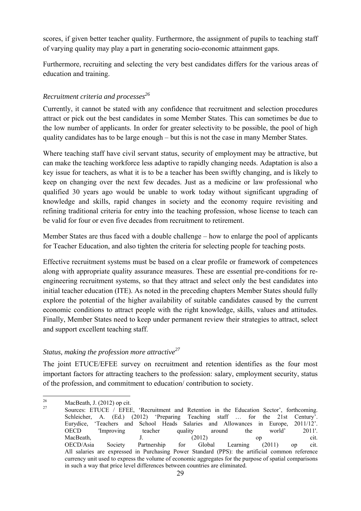scores, if given better teacher quality. Furthermore, the assignment of pupils to teaching staff of varying quality may play a part in generating socio-economic attainment gaps.

Furthermore, recruiting and selecting the very best candidates differs for the various areas of education and training.

# <span id="page-28-0"></span>*Recruitment criteria and processes26*

Currently, it cannot be stated with any confidence that recruitment and selection procedures attract or pick out the best candidates in some Member States. This can sometimes be due to the low number of applicants. In order for greater selectivity to be possible, the pool of high quality candidates has to be large enough – but this is not the case in many Member States.

Where teaching staff have civil servant status, security of employment may be attractive, but can make the teaching workforce less adaptive to rapidly changing needs. Adaptation is also a key issue for teachers, as what it is to be a teacher has been swiftly changing, and is likely to keep on changing over the next few decades. Just as a medicine or law professional who qualified 30 years ago would be unable to work today without significant upgrading of knowledge and skills, rapid changes in society and the economy require revisiting and refining traditional criteria for entry into the teaching profession, whose license to teach can be valid for four or even five decades from recruitment to retirement.

Member States are thus faced with a double challenge – how to enlarge the pool of applicants for Teacher Education, and also tighten the criteria for selecting people for teaching posts.

Effective recruitment systems must be based on a clear profile or framework of competences along with appropriate quality assurance measures. These are essential pre-conditions for reengineering recruitment systems, so that they attract and select only the best candidates into initial teacher education (ITE). As noted in the preceding chapters Member States should fully explore the potential of the higher availability of suitable candidates caused by the current economic conditions to attract people with the right knowledge, skills, values and attitudes. Finally, Member States need to keep under permanent review their strategies to attract, select and support excellent teaching staff.

# <span id="page-28-1"></span>*Status, making the profession more attractive27*

The joint ETUCE/EFEE survey on recruitment and retention identifies as the four most important factors for attracting teachers to the profession: salary, employment security, status of the profession, and commitment to education/ contribution to society.

<sup>26</sup>  $\frac{26}{27}$  MacBeath, J. (2012) op cit.

Sources: ETUCE / EFEE, 'Recruitment and Retention in the Education Sector', forthcoming. Schleicher, A. (Ed.) (2012) 'Preparing Teaching staff … for the 21st Century'. Eurydice, 'Teachers and School Heads Salaries and Allowances in Europe, 2011/12'. OECD 'Improving teacher quality around the world' 2011'. MacBeath, J. J. (2012) op cit. OECD/Asia Society Partnership for Global Learning (2011) op cit. All salaries are expressed in Purchasing Power Standard (PPS): the artificial common reference currency unit used to express the volume of economic aggregates for the purpose of spatial comparisons in such a way that price level differences between countries are eliminated.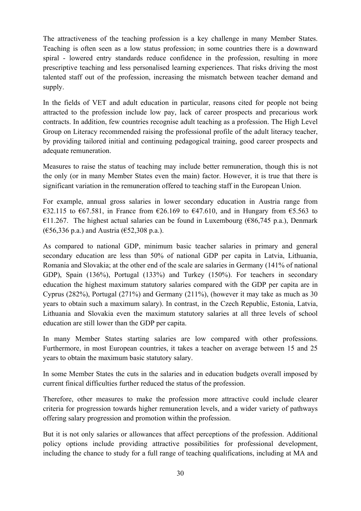The attractiveness of the teaching profession is a key challenge in many Member States. Teaching is often seen as a low status profession; in some countries there is a downward spiral - lowered entry standards reduce confidence in the profession, resulting in more prescriptive teaching and less personalised learning experiences. That risks driving the most talented staff out of the profession, increasing the mismatch between teacher demand and supply.

In the fields of VET and adult education in particular, reasons cited for people not being attracted to the profession include low pay, lack of career prospects and precarious work contracts. In addition, few countries recognise adult teaching as a profession. The High Level Group on Literacy recommended raising the professional profile of the adult literacy teacher, by providing tailored initial and continuing pedagogical training, good career prospects and adequate remuneration.

Measures to raise the status of teaching may include better remuneration, though this is not the only (or in many Member States even the main) factor. However, it is true that there is significant variation in the remuneration offered to teaching staff in the European Union.

For example, annual gross salaries in lower secondary education in Austria range from €32.115 to €67.581, in France from €26.169 to €47.610, and in Hungary from €5.563 to €11.267. The highest actual salaries can be found in Luxembourg (€86,745 p.a.), Denmark  $(656,336 \text{ p.a.})$  and Austria  $(652,308 \text{ p.a.})$ .

As compared to national GDP, minimum basic teacher salaries in primary and general secondary education are less than 50% of national GDP per capita in Latvia, Lithuania, Romania and Slovakia; at the other end of the scale are salaries in Germany (141% of national GDP), Spain (136%), Portugal (133%) and Turkey (150%). For teachers in secondary education the highest maximum statutory salaries compared with the GDP per capita are in Cyprus (282%), Portugal (271%) and Germany (211%), (however it may take as much as 30 years to obtain such a maximum salary). In contrast, in the Czech Republic, Estonia, Latvia, Lithuania and Slovakia even the maximum statutory salaries at all three levels of school education are still lower than the GDP per capita.

In many Member States starting salaries are low compared with other professions. Furthermore, in most European countries, it takes a teacher on average between 15 and 25 years to obtain the maximum basic statutory salary.

In some Member States the cuts in the salaries and in education budgets overall imposed by current finical difficulties further reduced the status of the profession.

Therefore, other measures to make the profession more attractive could include clearer criteria for progression towards higher remuneration levels, and a wider variety of pathways offering salary progression and promotion within the profession.

But it is not only salaries or allowances that affect perceptions of the profession. Additional policy options include providing attractive possibilities for professional development, including the chance to study for a full range of teaching qualifications, including at MA and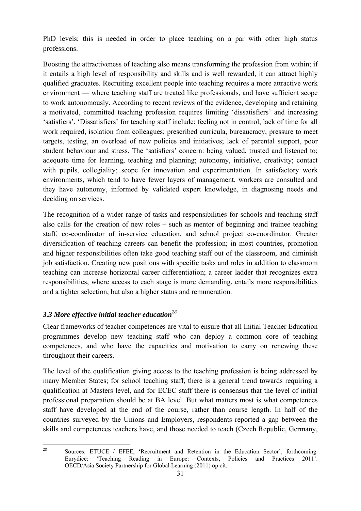PhD levels; this is needed in order to place teaching on a par with other high status professions.

Boosting the attractiveness of teaching also means transforming the profession from within; if it entails a high level of responsibility and skills and is well rewarded, it can attract highly qualified graduates. Recruiting excellent people into teaching requires a more attractive work environment — where teaching staff are treated like professionals, and have sufficient scope to work autonomously. According to recent reviews of the evidence, developing and retaining a motivated, committed teaching profession requires limiting 'dissatisfiers' and increasing 'satisfiers'. 'Dissatisfiers' for teaching staff include: feeling not in control, lack of time for all work required, isolation from colleagues; prescribed curricula, bureaucracy, pressure to meet targets, testing, an overload of new policies and initiatives; lack of parental support, poor student behaviour and stress. The 'satisfiers' concern: being valued, trusted and listened to; adequate time for learning, teaching and planning; autonomy, initiative, creativity; contact with pupils, collegiality; scope for innovation and experimentation. In satisfactory work environments, which tend to have fewer layers of management, workers are consulted and they have autonomy, informed by validated expert knowledge, in diagnosing needs and deciding on services.

The recognition of a wider range of tasks and responsibilities for schools and teaching staff also calls for the creation of new roles – such as mentor of beginning and trainee teaching staff, co-coordinator of in-service education, and school project co-coordinator. Greater diversification of teaching careers can benefit the profession; in most countries, promotion and higher responsibilities often take good teaching staff out of the classroom, and diminish job satisfaction. Creating new positions with specific tasks and roles in addition to classroom teaching can increase horizontal career differentiation; a career ladder that recognizes extra responsibilities, where access to each stage is more demanding, entails more responsibilities and a tighter selection, but also a higher status and remuneration.

# <span id="page-30-0"></span>*3.3 More effective initial teacher education<sup>28</sup>*

Clear frameworks of teacher competences are vital to ensure that all Initial Teacher Education programmes develop new teaching staff who can deploy a common core of teaching competences, and who have the capacities and motivation to carry on renewing these throughout their careers.

The level of the qualification giving access to the teaching profession is being addressed by many Member States; for school teaching staff, there is a general trend towards requiring a qualification at Masters level, and for ECEC staff there is consensus that the level of initial professional preparation should be at BA level. But what matters most is what competences staff have developed at the end of the course, rather than course length. In half of the countries surveyed by the Unions and Employers, respondents reported a gap between the skills and competences teachers have, and those needed to teach (Czech Republic, Germany,

<sup>28</sup> 28 Sources: ETUCE / EFEE, 'Recruitment and Retention in the Education Sector', forthcoming. Eurydice: 'Teaching Reading in Europe: Contexts, Policies and Practices 2011'. OECD/Asia Society Partnership for Global Learning (2011) op cit.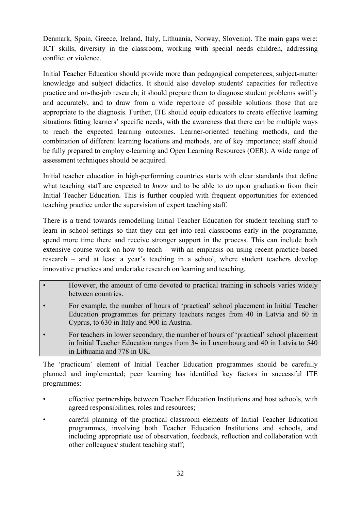Denmark, Spain, Greece, Ireland, Italy, Lithuania, Norway, Slovenia). The main gaps were: ICT skills, diversity in the classroom, working with special needs children, addressing conflict or violence.

Initial Teacher Education should provide more than pedagogical competences, subject-matter knowledge and subject didactics. It should also develop students' capacities for reflective practice and on-the-job research; it should prepare them to diagnose student problems swiftly and accurately, and to draw from a wide repertoire of possible solutions those that are appropriate to the diagnosis. Further, ITE should equip educators to create effective learning situations fitting learners' specific needs, with the awareness that there can be multiple ways to reach the expected learning outcomes. Learner-oriented teaching methods, and the combination of different learning locations and methods, are of key importance; staff should be fully prepared to employ e-learning and Open Learning Resources (OER). A wide range of assessment techniques should be acquired.

Initial teacher education in high-performing countries starts with clear standards that define what teaching staff are expected to *know* and to be able to *do* upon graduation from their Initial Teacher Education. This is further coupled with frequent opportunities for extended teaching practice under the supervision of expert teaching staff.

There is a trend towards remodelling Initial Teacher Education for student teaching staff to learn in school settings so that they can get into real classrooms early in the programme, spend more time there and receive stronger support in the process. This can include both extensive course work on how to teach – with an emphasis on using recent practice-based research – and at least a year's teaching in a school, where student teachers develop innovative practices and undertake research on learning and teaching.

- However, the amount of time devoted to practical training in schools varies widely between countries.
- For example, the number of hours of 'practical' school placement in Initial Teacher Education programmes for primary teachers ranges from 40 in Latvia and 60 in Cyprus, to 630 in Italy and 900 in Austria.
- For teachers in lower secondary, the number of hours of 'practical' school placement in Initial Teacher Education ranges from 34 in Luxembourg and 40 in Latvia to 540 in Lithuania and 778 in UK.

The 'practicum' element of Initial Teacher Education programmes should be carefully planned and implemented; peer learning has identified key factors in successful ITE programmes:

- effective partnerships between Teacher Education Institutions and host schools, with agreed responsibilities, roles and resources;
- careful planning of the practical classroom elements of Initial Teacher Education programmes, involving both Teacher Education Institutions and schools, and including appropriate use of observation, feedback, reflection and collaboration with other colleagues/ student teaching staff;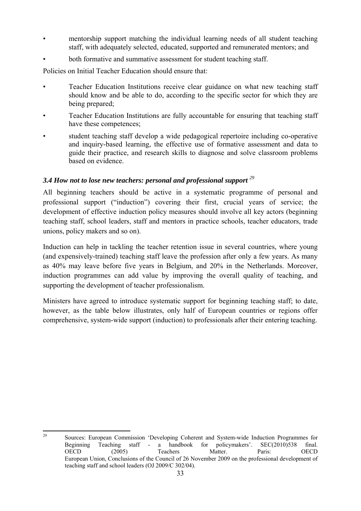- mentorship support matching the individual learning needs of all student teaching staff, with adequately selected, educated, supported and remunerated mentors; and
- both formative and summative assessment for student teaching staff.

Policies on Initial Teacher Education should ensure that:

- Teacher Education Institutions receive clear guidance on what new teaching staff should know and be able to do, according to the specific sector for which they are being prepared;
- Teacher Education Institutions are fully accountable for ensuring that teaching staff have these competences;
- student teaching staff develop a wide pedagogical repertoire including co-operative and inquiry-based learning, the effective use of formative assessment and data to guide their practice, and research skills to diagnose and solve classroom problems based on evidence.

# <span id="page-32-0"></span>*3.4 How not to lose new teachers: personal and professional support <sup>29</sup>*

All beginning teachers should be active in a systematic programme of personal and professional support ("induction") covering their first, crucial years of service; the development of effective induction policy measures should involve all key actors (beginning teaching staff, school leaders, staff and mentors in practice schools, teacher educators, trade unions, policy makers and so on).

Induction can help in tackling the teacher retention issue in several countries, where young (and expensively-trained) teaching staff leave the profession after only a few years. As many as 40% may leave before five years in Belgium, and 20% in the Netherlands. Moreover, induction programmes can add value by improving the overall quality of teaching, and supporting the development of teacher professionalism.

Ministers have agreed to introduce systematic support for beginning teaching staff; to date, however, as the table below illustrates, only half of European countries or regions offer comprehensive, system-wide support (induction) to professionals after their entering teaching.

 $29$ 29 Sources: European Commission 'Developing Coherent and System-wide Induction Programmes for Beginning Teaching staff - a handbook for policymakers'. SEC(2010)538 final. OECD (2005) Teachers Matter. Paris: OECD European Union, Conclusions of the Council of 26 November 2009 on the professional development of teaching staff and school leaders (OJ 2009/C 302/04).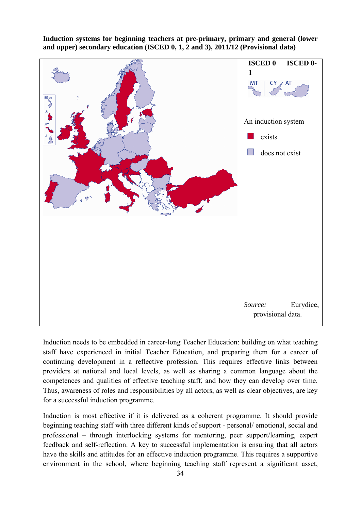**Induction systems for beginning teachers at pre-primary, primary and general (lower and upper) secondary education (ISCED 0, 1, 2 and 3), 2011/12 (Provisional data)** 



Induction needs to be embedded in career-long Teacher Education: building on what teaching staff have experienced in initial Teacher Education, and preparing them for a career of continuing development in a reflective profession. This requires effective links between providers at national and local levels, as well as sharing a common language about the competences and qualities of effective teaching staff, and how they can develop over time. Thus, awareness of roles and responsibilities by all actors, as well as clear objectives, are key for a successful induction programme.

Induction is most effective if it is delivered as a coherent programme. It should provide beginning teaching staff with three different kinds of support - personal/ emotional, social and professional – through interlocking systems for mentoring, peer support/learning, expert feedback and self-reflection. A key to successful implementation is ensuring that all actors have the skills and attitudes for an effective induction programme. This requires a supportive environment in the school, where beginning teaching staff represent a significant asset,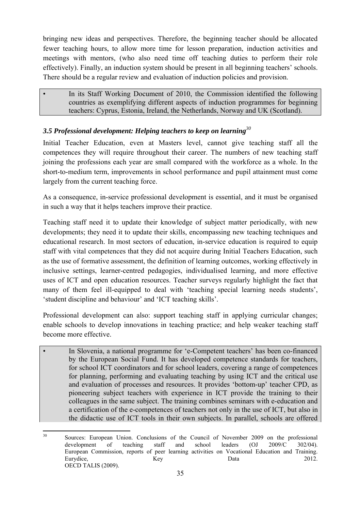bringing new ideas and perspectives. Therefore, the beginning teacher should be allocated fewer teaching hours, to allow more time for lesson preparation, induction activities and meetings with mentors, (who also need time off teaching duties to perform their role effectively). Finally, an induction system should be present in all beginning teachers' schools. There should be a regular review and evaluation of induction policies and provision.

• In its Staff Working Document of 2010, the Commission identified the following countries as exemplifying different aspects of induction programmes for beginning teachers: Cyprus, Estonia, Ireland, the Netherlands, Norway and UK (Scotland).

## <span id="page-34-0"></span>*3.5 Professional development: Helping teachers to keep on learning<sup>30</sup>*

Initial Teacher Education, even at Masters level, cannot give teaching staff all the competences they will require throughout their career. The numbers of new teaching staff joining the professions each year are small compared with the workforce as a whole. In the short-to-medium term, improvements in school performance and pupil attainment must come largely from the current teaching force.

As a consequence, in-service professional development is essential, and it must be organised in such a way that it helps teachers improve their practice.

Teaching staff need it to update their knowledge of subject matter periodically, with new developments; they need it to update their skills, encompassing new teaching techniques and educational research. In most sectors of education, in-service education is required to equip staff with vital competences that they did not acquire during Initial Teachers Education, such as the use of formative assessment, the definition of learning outcomes, working effectively in inclusive settings, learner-centred pedagogies, individualised learning, and more effective uses of ICT and open education resources. Teacher surveys regularly highlight the fact that many of them feel ill-equipped to deal with 'teaching special learning needs students', 'student discipline and behaviour' and 'ICT teaching skills'.

Professional development can also: support teaching staff in applying curricular changes; enable schools to develop innovations in teaching practice; and help weaker teaching staff become more effective.

In Slovenia, a national programme for 'e-Competent teachers' has been co-financed by the European Social Fund. It has developed competence standards for teachers, for school ICT coordinators and for school leaders, covering a range of competences for planning, performing and evaluating teaching by using ICT and the critical use and evaluation of processes and resources. It provides 'bottom-up' teacher CPD, as pioneering subject teachers with experience in ICT provide the training to their colleagues in the same subject. The training combines seminars with e-education and a certification of the e-competences of teachers not only in the use of ICT, but also in the didactic use of ICT tools in their own subjects. In parallel, schools are offered

 $30^{\circ}$ 30 Sources: European Union. Conclusions of the Council of November 2009 on the professional development of teaching staff and school leaders (OJ 2009/C 302/04). European Commission, reports of peer learning activities on Vocational Education and Training. Eurydice, Key Research Research New Data 2012. OECD TALIS (2009).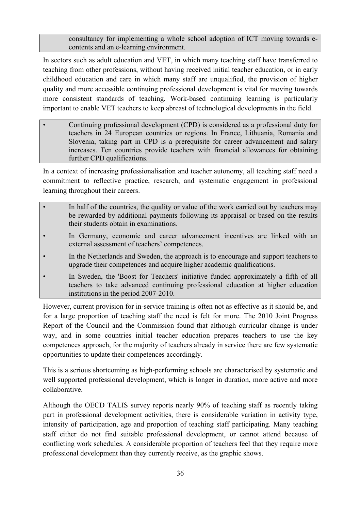consultancy for implementing a whole school adoption of ICT moving towards econtents and an e-learning environment.

In sectors such as adult education and VET, in which many teaching staff have transferred to teaching from other professions, without having received initial teacher education, or in early childhood education and care in which many staff are unqualified, the provision of higher quality and more accessible continuing professional development is vital for moving towards more consistent standards of teaching. Work-based continuing learning is particularly important to enable VET teachers to keep abreast of technological developments in the field.

• Continuing professional development (CPD) is considered as a professional duty for teachers in 24 European countries or regions. In France, Lithuania, Romania and Slovenia, taking part in CPD is a prerequisite for career advancement and salary increases. Ten countries provide teachers with financial allowances for obtaining further CPD qualifications.

In a context of increasing professionalisation and teacher autonomy, all teaching staff need a commitment to reflective practice, research, and systematic engagement in professional learning throughout their careers.

- In half of the countries, the quality or value of the work carried out by teachers may be rewarded by additional payments following its appraisal or based on the results their students obtain in examinations.
- In Germany, economic and career advancement incentives are linked with an external assessment of teachers' competences.
- In the Netherlands and Sweden, the approach is to encourage and support teachers to upgrade their competences and acquire higher academic qualifications.
- In Sweden, the 'Boost for Teachers' initiative funded approximately a fifth of all teachers to take advanced continuing professional education at higher education institutions in the period 2007-2010.

However, current provision for in-service training is often not as effective as it should be, and for a large proportion of teaching staff the need is felt for more. The 2010 Joint Progress Report of the Council and the Commission found that although curricular change is under way, and in some countries initial teacher education prepares teachers to use the key competences approach, for the majority of teachers already in service there are few systematic opportunities to update their competences accordingly.

This is a serious shortcoming as high-performing schools are characterised by systematic and well supported professional development, which is longer in duration, more active and more collaborative.

Although the OECD TALIS survey reports nearly 90% of teaching staff as recently taking part in professional development activities, there is considerable variation in activity type, intensity of participation, age and proportion of teaching staff participating. Many teaching staff either do not find suitable professional development, or cannot attend because of conflicting work schedules. A considerable proportion of teachers feel that they require more professional development than they currently receive, as the graphic shows.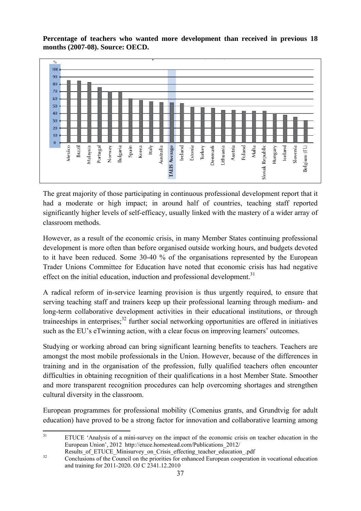**Percentage of teachers who wanted more development than received in previous 18 months (2007-08). Source: OECD.** 



The great majority of those participating in continuous professional development report that it had a moderate or high impact; in around half of countries, teaching staff reported significantly higher levels of self-efficacy, usually linked with the mastery of a wider array of classroom methods.

However, as a result of the economic crisis, in many Member States continuing professional development is more often than before organised outside working hours, and budgets devoted to it have been reduced. Some 30-40 % of the organisations represented by the European Trader Unions Committee for Education have noted that economic crisis has had negative effect on the initial education, induction and professional development.<sup>31</sup>

A radical reform of in-service learning provision is thus urgently required, to ensure that serving teaching staff and trainers keep up their professional learning through medium- and long-term collaborative development activities in their educational institutions, or through traineeships in enterprises; $32$  further social networking opportunities are offered in initiatives such as the EU's eTwinning action, with a clear focus on improving learners' outcomes.

Studying or working abroad can bring significant learning benefits to teachers. Teachers are amongst the most mobile professionals in the Union. However, because of the differences in training and in the organisation of the profession, fully qualified teachers often encounter difficulties in obtaining recognition of their qualifications in a host Member State. Smoother and more transparent recognition procedures can help overcoming shortages and strengthen cultural diversity in the classroom.

European programmes for professional mobility (Comenius grants, and Grundtvig for adult education) have proved to be a strong factor for innovation and collaborative learning among

 $31$ ETUCE 'Analysis of a mini-survey on the impact of the economic crisis on teacher education in the European Union', 2012 http://etuce.homestead.com/Publications\_2012/

Results\_of\_ETUCE\_Minisurvey\_on\_Crisis\_effecting\_teacher\_education\_.pdf<br>
32 Conclusions of the Council on the priorities for enhanced European cooperation in vocational education and training for 2011-2020. OJ C 2341.12.2010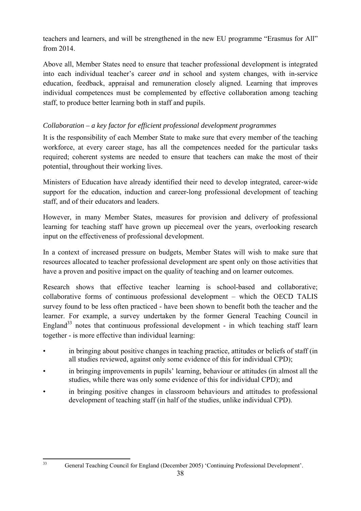teachers and learners, and will be strengthened in the new EU programme "Erasmus for All" from 2014.

Above all, Member States need to ensure that teacher professional development is integrated into each individual teacher's career *and* in school and system changes, with in-service education, feedback, appraisal and remuneration closely aligned. Learning that improves individual competences must be complemented by effective collaboration among teaching staff, to produce better learning both in staff and pupils.

# <span id="page-37-0"></span>*Collaboration – a key factor for efficient professional development programmes*

It is the responsibility of each Member State to make sure that every member of the teaching workforce, at every career stage, has all the competences needed for the particular tasks required; coherent systems are needed to ensure that teachers can make the most of their potential, throughout their working lives.

Ministers of Education have already identified their need to develop integrated, career-wide support for the education, induction and career-long professional development of teaching staff, and of their educators and leaders.

However, in many Member States, measures for provision and delivery of professional learning for teaching staff have grown up piecemeal over the years, overlooking research input on the effectiveness of professional development.

In a context of increased pressure on budgets, Member States will wish to make sure that resources allocated to teacher professional development are spent only on those activities that have a proven and positive impact on the quality of teaching and on learner outcomes.

Research shows that effective teacher learning is school-based and collaborative; collaborative forms of continuous professional development – which the OECD TALIS survey found to be less often practiced - have been shown to benefit both the teacher and the learner. For example, a survey undertaken by the former General Teaching Council in England<sup>33</sup> notes that continuous professional development - in which teaching staff learn together - is more effective than individual learning:

- in bringing about positive changes in teaching practice, attitudes or beliefs of staff (in all studies reviewed, against only some evidence of this for individual CPD);
- in bringing improvements in pupils' learning, behaviour or attitudes (in almost all the studies, while there was only some evidence of this for individual CPD); and
- in bringing positive changes in classroom behaviours and attitudes to professional development of teaching staff (in half of the studies, unlike individual CPD).

 $33$ 

<sup>33</sup> General Teaching Council for England (December 2005) 'Continuing Professional Development'.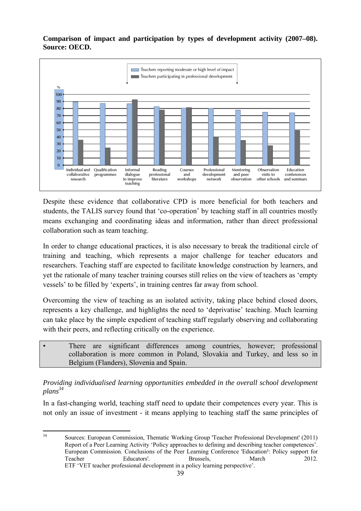**Comparison of impact and participation by types of development activity (2007–08). Source: OECD.** 



Despite these evidence that collaborative CPD is more beneficial for both teachers and students, the TALIS survey found that 'co-operation' by teaching staff in all countries mostly means exchanging and coordinating ideas and information, rather than direct professional collaboration such as team teaching.

In order to change educational practices, it is also necessary to break the traditional circle of training and teaching, which represents a major challenge for teacher educators and researchers. Teaching staff are expected to facilitate knowledge construction by learners, and yet the rationale of many teacher training courses still relies on the view of teachers as 'empty vessels' to be filled by 'experts', in training centres far away from school.

Overcoming the view of teaching as an isolated activity, taking place behind closed doors, represents a key challenge, and highlights the need to 'deprivatise' teaching. Much learning can take place by the simple expedient of teaching staff regularly observing and collaborating with their peers, and reflecting critically on the experience.

There are significant differences among countries, however; professional collaboration is more common in Poland, Slovakia and Turkey, and less so in Belgium (Flanders), Slovenia and Spain.

<span id="page-38-0"></span>*Providing individualised learning opportunities embedded in the overall school development plans34* 

In a fast-changing world, teaching staff need to update their competences every year. This is not only an issue of investment - it means applying to teaching staff the same principles of

 $\overline{34}$ 34 Sources: European Commission, Thematic Working Group 'Teacher Professional Development' (2011) Report of a Peer Learning Activity 'Policy approaches to defining and describing teacher competences'. European Commission. Conclusions of the Peer Learning Conference 'Education²: Policy support for Teacher Educators'. Brussels, March 2012. ETF 'VET teacher professional development in a policy learning perspective'.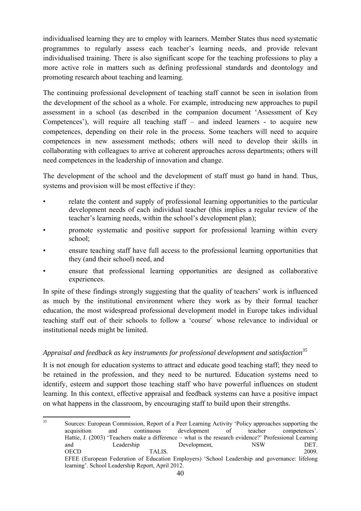individualised learning they are to employ with learners. Member States thus need systematic programmes to regularly assess each teacher's learning needs, and provide relevant individualised training. There is also significant scope for the teaching professions to play a more active role in matters such as defining professional standards and deontology and promoting research about teaching and learning.

The continuing professional development of teaching staff cannot be seen in isolation from the development of the school as a whole. For example, introducing new approaches to pupil assessment in a school (as described in the companion document 'Assessment of Key Competences'), will require all teaching staff – and indeed learners - to acquire new competences, depending on their role in the process. Some teachers will need to acquire competences in new assessment methods; others will need to develop their skills in collaborating with colleagues to arrive at coherent approaches across departments; others will need competences in the leadership of innovation and change.

The development of the school and the development of staff must go hand in hand. Thus, systems and provision will be most effective if they:

- relate the content and supply of professional learning opportunities to the particular development needs of each individual teacher (this implies a regular review of the teacher's learning needs, within the school's development plan);
- promote systematic and positive support for professional learning within every school;
- ensure teaching staff have full access to the professional learning opportunities that they (and their school) need, and
- ensure that professional learning opportunities are designed as collaborative experiences.

In spite of these findings strongly suggesting that the quality of teachers' work is influenced as much by the institutional environment where they work as by their formal teacher education, the most widespread professional development model in Europe takes individual teaching staff out of their schools to follow a 'course'' whose relevance to individual or institutional needs might be limited.

## <span id="page-39-0"></span>Appraisal and feedback as key instruments for professional development and satisfaction<sup>35</sup>

It is not enough for education systems to attract and educate good teaching staff; they need to be retained in the profession, and they need to be nurtured. Education systems need to identify, esteem and support those teaching staff who have powerful influences on student learning. In this context, effective appraisal and feedback systems can have a positive impact on what happens in the classroom, by encouraging staff to build upon their strengths.

 $35$ 35 Sources: European Commission, Report of a Peer Learning Activity 'Policy approaches supporting the acquisition and continuous development of teacher competences'. Hattie, J. (2003) 'Teachers make a difference – what is the research evidence?' Professional Learning and Leadership Development, NSW DET. OECD TALIS. 2009. EFEE (European Federation of Education Employers) 'School Leadership and governance: lifelong learning'. School Leadership Report, April 2012.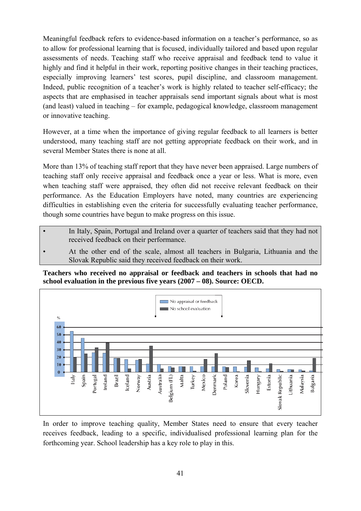Meaningful feedback refers to evidence-based information on a teacher's performance, so as to allow for professional learning that is focused, individually tailored and based upon regular assessments of needs. Teaching staff who receive appraisal and feedback tend to value it highly and find it helpful in their work, reporting positive changes in their teaching practices, especially improving learners' test scores, pupil discipline, and classroom management. Indeed, public recognition of a teacher's work is highly related to teacher self-efficacy; the aspects that are emphasised in teacher appraisals send important signals about what is most (and least) valued in teaching – for example, pedagogical knowledge, classroom management or innovative teaching.

However, at a time when the importance of giving regular feedback to all learners is better understood, many teaching staff are not getting appropriate feedback on their work, and in several Member States there is none at all.

More than 13% of teaching staff report that they have never been appraised. Large numbers of teaching staff only receive appraisal and feedback once a year or less. What is more, even when teaching staff were appraised, they often did not receive relevant feedback on their performance. As the Education Employers have noted, many countries are experiencing difficulties in establishing even the criteria for successfully evaluating teacher performance, though some countries have begun to make progress on this issue.

- In Italy, Spain, Portugal and Ireland over a quarter of teachers said that they had not received feedback on their performance.
- At the other end of the scale, almost all teachers in Bulgaria, Lithuania and the Slovak Republic said they received feedback on their work.

**Teachers who received no appraisal or feedback and teachers in schools that had no school evaluation in the previous five years (2007 – 08). Source: OECD.** 



In order to improve teaching quality, Member States need to ensure that every teacher receives feedback, leading to a specific, individualised professional learning plan for the forthcoming year. School leadership has a key role to play in this.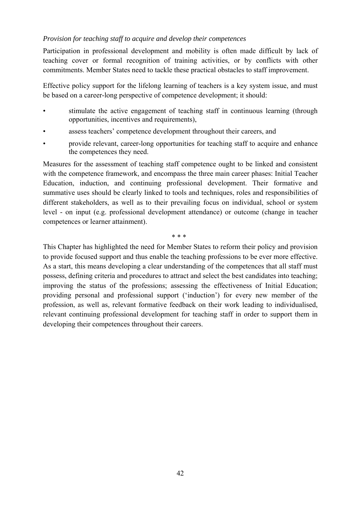#### <span id="page-41-0"></span>*Provision for teaching staff to acquire and develop their competences*

Participation in professional development and mobility is often made difficult by lack of teaching cover or formal recognition of training activities, or by conflicts with other commitments. Member States need to tackle these practical obstacles to staff improvement.

Effective policy support for the lifelong learning of teachers is a key system issue, and must be based on a career-long perspective of competence development; it should:

- stimulate the active engagement of teaching staff in continuous learning (through opportunities, incentives and requirements),
- assess teachers' competence development throughout their careers, and
- provide relevant, career-long opportunities for teaching staff to acquire and enhance the competences they need.

Measures for the assessment of teaching staff competence ought to be linked and consistent with the competence framework, and encompass the three main career phases: Initial Teacher Education, induction, and continuing professional development. Their formative and summative uses should be clearly linked to tools and techniques, roles and responsibilities of different stakeholders, as well as to their prevailing focus on individual, school or system level - on input (e.g. professional development attendance) or outcome (change in teacher competences or learner attainment).

 $*$  \* \* \*

This Chapter has highlighted the need for Member States to reform their policy and provision to provide focused support and thus enable the teaching professions to be ever more effective. As a start, this means developing a clear understanding of the competences that all staff must possess, defining criteria and procedures to attract and select the best candidates into teaching; improving the status of the professions; assessing the effectiveness of Initial Education; providing personal and professional support ('induction') for every new member of the profession, as well as, relevant formative feedback on their work leading to individualised, relevant continuing professional development for teaching staff in order to support them in developing their competences throughout their careers.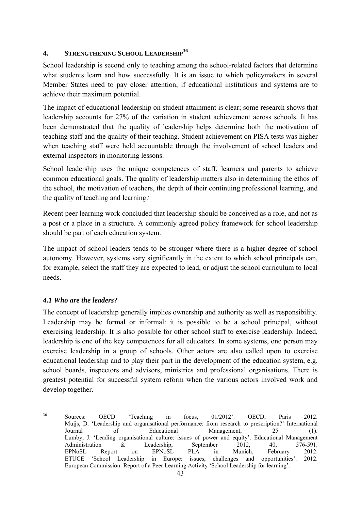#### <span id="page-42-0"></span>**4. STRENGTHENING SCHOOL LEADERSHIP<sup>36</sup>**

School leadership is second only to teaching among the school-related factors that determine what students learn and how successfully. It is an issue to which policymakers in several Member States need to pay closer attention, if educational institutions and systems are to achieve their maximum potential.

The impact of educational leadership on student attainment is clear; some research shows that leadership accounts for 27% of the variation in student achievement across schools. It has been demonstrated that the quality of leadership helps determine both the motivation of teaching staff and the quality of their teaching. Student achievement on PISA tests was higher when teaching staff were held accountable through the involvement of school leaders and external inspectors in monitoring lessons.

School leadership uses the unique competences of staff, learners and parents to achieve common educational goals. The quality of leadership matters also in determining the ethos of the school, the motivation of teachers, the depth of their continuing professional learning, and the quality of teaching and learning..

Recent peer learning work concluded that leadership should be conceived as a role, and not as a post or a place in a structure. A commonly agreed policy framework for school leadership should be part of each education system.

The impact of school leaders tends to be stronger where there is a higher degree of school autonomy. However, systems vary significantly in the extent to which school principals can, for example, select the staff they are expected to lead, or adjust the school curriculum to local needs.

## <span id="page-42-1"></span>*4.1 Who are the leaders?*

The concept of leadership generally implies ownership and authority as well as responsibility. Leadership may be formal or informal: it is possible to be a school principal, without exercising leadership. It is also possible for other school staff to exercise leadership. Indeed, leadership is one of the key competences for all educators. In some systems, one person may exercise leadership in a group of schools. Other actors are also called upon to exercise educational leadership and to play their part in the development of the education system, e.g. school boards, inspectors and advisors, ministries and professional organisations. There is greatest potential for successful system reform when the various actors involved work and develop together.

 $36$ 36 Sources: OECD 'Teaching in focus, 01/2012'. OECD, Paris 2012. Muijs, D. 'Leadership and organisational performance: from research to prescription?' International Journal of Educational Management, 25 (1). Lumby, J. 'Leading organisational culture: issues of power and equity'. Educational Management Administration & Leadership, September 2012, 40, 576-591. EPNoSL Report on EPNoSL PLA in Munich, February 2012. ETUCE 'School Leadership in Europe: issues, challenges and opportunities'. 2012. European Commission: Report of a Peer Learning Activity 'School Leadership for learning'.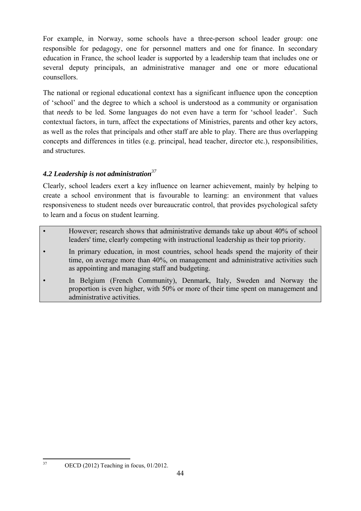For example, in Norway, some schools have a three-person school leader group: one responsible for pedagogy, one for personnel matters and one for finance. In secondary education in France, the school leader is supported by a leadership team that includes one or several deputy principals, an administrative manager and one or more educational counsellors.

The national or regional educational context has a significant influence upon the conception of 'school' and the degree to which a school is understood as a community or organisation that *needs* to be led. Some languages do not even have a term for 'school leader'. Such contextual factors, in turn, affect the expectations of Ministries, parents and other key actors, as well as the roles that principals and other staff are able to play. There are thus overlapping concepts and differences in titles (e.g. principal, head teacher, director etc.), responsibilities, and structures.

# <span id="page-43-0"></span>*4.2 Leadership is not administration<sup>37</sup>*

Clearly, school leaders exert a key influence on learner achievement, mainly by helping to create a school environment that is favourable to learning: an environment that values responsiveness to student needs over bureaucratic control, that provides psychological safety to learn and a focus on student learning.

- However: research shows that administrative demands take up about 40% of school leaders' time, clearly competing with instructional leadership as their top priority.
- In primary education, in most countries, school heads spend the majority of their time, on average more than 40%, on management and administrative activities such as appointing and managing staff and budgeting.
- In Belgium (French Community), Denmark, Italy, Sweden and Norway the proportion is even higher, with 50% or more of their time spent on management and administrative activities.

37

<sup>37</sup> OECD (2012) Teaching in focus, 01/2012.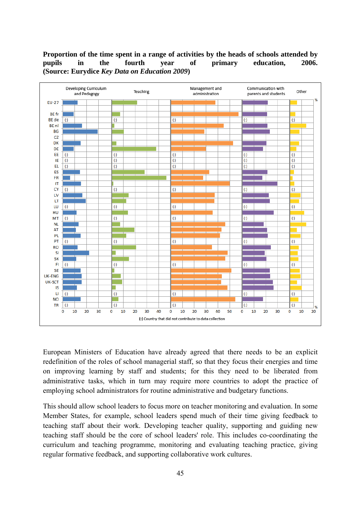#### **Proportion of the time spent in a range of activities by the heads of schools attended by pupils in the fourth year of primary education, 2006. (Source: Eurydice** *Key Data on Education 2009***)**



European Ministers of Education have already agreed that there needs to be an explicit redefinition of the roles of school managerial staff, so that they focus their energies and time on improving learning by staff and students; for this they need to be liberated from administrative tasks, which in turn may require more countries to adopt the practice of employing school administrators for routine administrative and budgetary functions.

This should allow school leaders to focus more on teacher monitoring and evaluation. In some Member States, for example, school leaders spend much of their time giving feedback to teaching staff about their work. Developing teacher quality, supporting and guiding new teaching staff should be the core of school leaders' role. This includes co-coordinating the curriculum and teaching programme, monitoring and evaluating teaching practice, giving regular formative feedback, and supporting collaborative work cultures.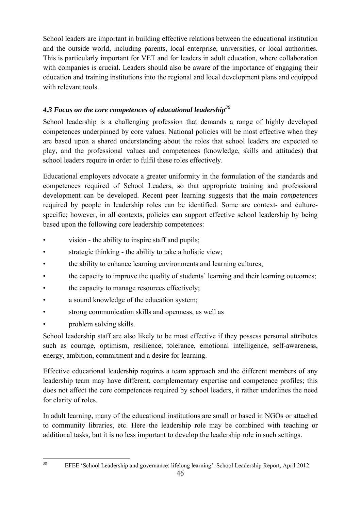School leaders are important in building effective relations between the educational institution and the outside world, including parents, local enterprise, universities, or local authorities. This is particularly important for VET and for leaders in adult education, where collaboration with companies is crucial. Leaders should also be aware of the importance of engaging their education and training institutions into the regional and local development plans and equipped with relevant tools.

# <span id="page-45-0"></span>*4.3 Focus on the core competences of educational leadership<sup>38</sup>*

School leadership is a challenging profession that demands a range of highly developed competences underpinned by core values. National policies will be most effective when they are based upon a shared understanding about the roles that school leaders are expected to play, and the professional values and competences (knowledge, skills and attitudes) that school leaders require in order to fulfil these roles effectively.

Educational employers advocate a greater uniformity in the formulation of the standards and competences required of School Leaders, so that appropriate training and professional development can be developed. Recent peer learning suggests that the main *competences* required by people in leadership roles can be identified. Some are context- and culturespecific; however, in all contexts, policies can support effective school leadership by being based upon the following core leadership competences:

- vision the ability to inspire staff and pupils;
- strategic thinking the ability to take a holistic view;
- the ability to enhance learning environments and learning cultures;
- the capacity to improve the quality of students' learning and their learning outcomes;
- the capacity to manage resources effectively;
- a sound knowledge of the education system;
- strong communication skills and openness, as well as
- problem solving skills.

School leadership staff are also likely to be most effective if they possess personal attributes such as courage, optimism, resilience, tolerance, emotional intelligence, self-awareness, energy, ambition, commitment and a desire for learning.

Effective educational leadership requires a team approach and the different members of any leadership team may have different, complementary expertise and competence profiles; this does not affect the core competences required by school leaders, it rather underlines the need for clarity of roles.

In adult learning, many of the educational institutions are small or based in NGOs or attached to community libraries, etc. Here the leadership role may be combined with teaching or additional tasks, but it is no less important to develop the leadership role in such settings.

38

EFEE 'School Leadership and governance: lifelong learning'. School Leadership Report, April 2012.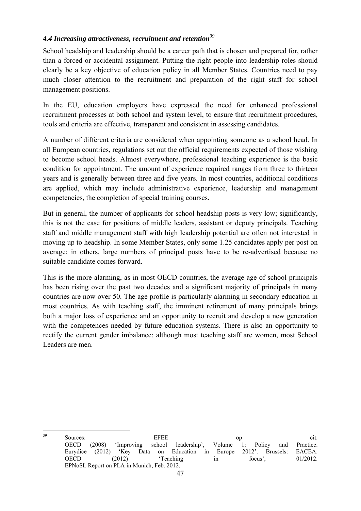#### <span id="page-46-0"></span>*4.4 Increasing attractiveness, recruitment and retention<sup>39</sup>*

School headship and leadership should be a career path that is chosen and prepared for, rather than a forced or accidental assignment. Putting the right people into leadership roles should clearly be a key objective of education policy in all Member States. Countries need to pay much closer attention to the recruitment and preparation of the right staff for school management positions.

In the EU, education employers have expressed the need for enhanced professional recruitment processes at both school and system level, to ensure that recruitment procedures, tools and criteria are effective, transparent and consistent in assessing candidates.

A number of different criteria are considered when appointing someone as a school head. In all European countries, regulations set out the official requirements expected of those wishing to become school heads. Almost everywhere, professional teaching experience is the basic condition for appointment. The amount of experience required ranges from three to thirteen years and is generally between three and five years. In most countries, additional conditions are applied, which may include administrative experience, leadership and management competencies, the completion of special training courses.

But in general, the number of applicants for school headship posts is very low; significantly, this is not the case for positions of middle leaders, assistant or deputy principals. Teaching staff and middle management staff with high leadership potential are often not interested in moving up to headship. In some Member States, only some 1.25 candidates apply per post on average; in others, large numbers of principal posts have to be re-advertised because no suitable candidate comes forward.

This is the more alarming, as in most OECD countries, the average age of school principals has been rising over the past two decades and a significant majority of principals in many countries are now over 50. The age profile is particularly alarming in secondary education in most countries. As with teaching staff, the imminent retirement of many principals brings both a major loss of experience and an opportunity to recruit and develop a new generation with the competences needed by future education systems. There is also an opportunity to rectify the current gender imbalance: although most teaching staff are women, most School Leaders are men.

 $39$  $39$  Sources: EFEE op cit. OECD (2008) 'Improving school leadership', Volume 1: Policy and Practice. Eurydice (2012) 'Key Data on Education in Europe 2012'. Brussels: EACEA. OECD (2012) 'Teaching in focus', 01/2012. EPNoSL Report on PLA in Munich, Feb. 2012.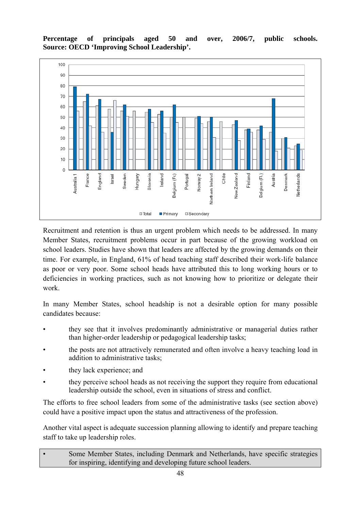**Percentage of principals aged 50 and over, 2006/7, public schools. Source: OECD 'Improving School Leadership'.** 



Recruitment and retention is thus an urgent problem which needs to be addressed. In many Member States, recruitment problems occur in part because of the growing workload on school leaders. Studies have shown that leaders are affected by the growing demands on their time. For example, in England, 61% of head teaching staff described their work-life balance as poor or very poor. Some school heads have attributed this to long working hours or to deficiencies in working practices, such as not knowing how to prioritize or delegate their work.

In many Member States, school headship is not a desirable option for many possible candidates because:

- they see that it involves predominantly administrative or managerial duties rather than higher-order leadership or pedagogical leadership tasks;
- the posts are not attractively remunerated and often involve a heavy teaching load in addition to administrative tasks;
- they lack experience; and
- they perceive school heads as not receiving the support they require from educational leadership outside the school, even in situations of stress and conflict.

The efforts to free school leaders from some of the administrative tasks (see section above) could have a positive impact upon the status and attractiveness of the profession.

Another vital aspect is adequate succession planning allowing to identify and prepare teaching staff to take up leadership roles.

Some Member States, including Denmark and Netherlands, have specific strategies for inspiring, identifying and developing future school leaders.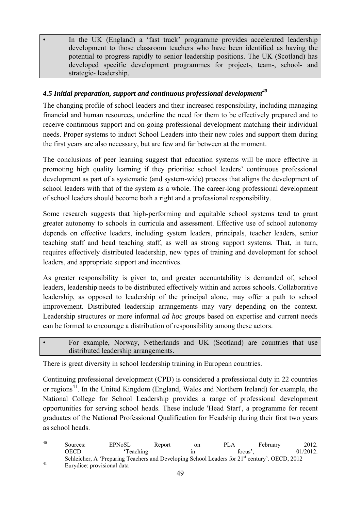In the UK (England) a 'fast track' programme provides accelerated leadership development to those classroom teachers who have been identified as having the potential to progress rapidly to senior leadership positions. The UK (Scotland) has developed specific development programmes for project-, team-, school- and strategic- leadership.

# <span id="page-48-0"></span>*4.5 Initial preparation, support and continuous professional development<sup>40</sup>*

The changing profile of school leaders and their increased responsibility, including managing financial and human resources, underline the need for them to be effectively prepared and to receive continuous support and on-going professional development matching their individual needs. Proper systems to induct School Leaders into their new roles and support them during the first years are also necessary, but are few and far between at the moment.

The conclusions of peer learning suggest that education systems will be more effective in promoting high quality learning if they prioritise school leaders' continuous professional development as part of a systematic (and system-wide) process that aligns the development of school leaders with that of the system as a whole. The career-long professional development of school leaders should become both a right and a professional responsibility.

Some research suggests that high-performing and equitable school systems tend to grant greater autonomy to schools in curricula and assessment. Effective use of school autonomy depends on effective leaders, including system leaders, principals, teacher leaders, senior teaching staff and head teaching staff, as well as strong support systems. That, in turn, requires effectively distributed leadership, new types of training and development for school leaders, and appropriate support and incentives.

As greater responsibility is given to, and greater accountability is demanded of, school leaders, leadership needs to be distributed effectively within and across schools. Collaborative leadership, as opposed to leadership of the principal alone, may offer a path to school improvement. Distributed leadership arrangements may vary depending on the context. Leadership structures or more informal *ad hoc* groups based on expertise and current needs can be formed to encourage a distribution of responsibility among these actors.

• For example, Norway, Netherlands and UK (Scotland) are countries that use distributed leadership arrangements.

There is great diversity in school leadership training in European countries.

Continuing professional development (CPD) is considered a professional duty in 22 countries or regions<sup>41</sup>. In the United Kingdom (England, Wales and Northern Ireland) for example, the National College for School Leadership provides a range of professional development opportunities for serving school heads. These include 'Head Start', a programme for recent graduates of the National Professional Qualification for Headship during their first two years as school heads.

 $40$ <sup>40</sup> Sources: EPNoSL Report on PLA February 2012. OECD 'Teaching in focus', 01/2012. Schleicher, A 'Preparing Teachers and Developing School Leaders for 21<sup>st</sup> century'. OECD, 2012 Eurydice: provisional data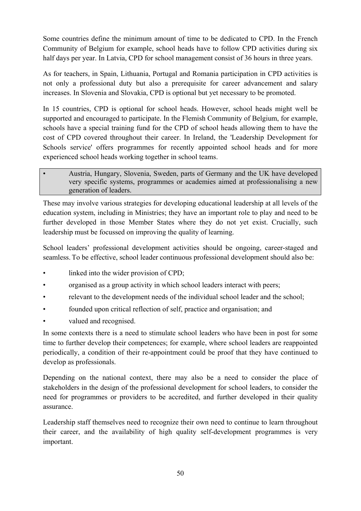Some countries define the minimum amount of time to be dedicated to CPD. In the French Community of Belgium for example, school heads have to follow CPD activities during six half days per year. In Latvia, CPD for school management consist of 36 hours in three years.

As for teachers, in Spain, Lithuania, Portugal and Romania participation in CPD activities is not only a professional duty but also a prerequisite for career advancement and salary increases. In Slovenia and Slovakia, CPD is optional but yet necessary to be promoted.

In 15 countries, CPD is optional for school heads. However, school heads might well be supported and encouraged to participate. In the Flemish Community of Belgium, for example, schools have a special training fund for the CPD of school heads allowing them to have the cost of CPD covered throughout their career. In Ireland, the 'Leadership Development for Schools service' offers programmes for recently appointed school heads and for more experienced school heads working together in school teams.

#### • Austria, Hungary, Slovenia, Sweden, parts of Germany and the UK have developed very specific systems, programmes or academies aimed at professionalising a new generation of leaders.

These may involve various strategies for developing educational leadership at all levels of the education system, including in Ministries; they have an important role to play and need to be further developed in those Member States where they do not yet exist. Crucially, such leadership must be focussed on improving the quality of learning.

School leaders' professional development activities should be ongoing, career-staged and seamless. To be effective, school leader continuous professional development should also be:

- linked into the wider provision of CPD;
- organised as a group activity in which school leaders interact with peers;
- relevant to the development needs of the individual school leader and the school;
- founded upon critical reflection of self, practice and organisation; and
- valued and recognised.

In some contexts there is a need to stimulate school leaders who have been in post for some time to further develop their competences; for example, where school leaders are reappointed periodically, a condition of their re-appointment could be proof that they have continued to develop as professionals.

Depending on the national context, there may also be a need to consider the place of stakeholders in the design of the professional development for school leaders, to consider the need for programmes or providers to be accredited, and further developed in their quality assurance.

Leadership staff themselves need to recognize their own need to continue to learn throughout their career, and the availability of high quality self-development programmes is very important.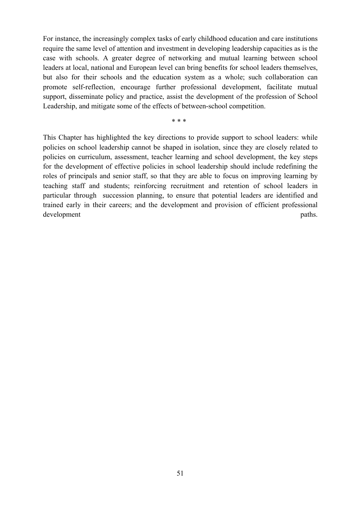For instance, the increasingly complex tasks of early childhood education and care institutions require the same level of attention and investment in developing leadership capacities as is the case with schools. A greater degree of networking and mutual learning between school leaders at local, national and European level can bring benefits for school leaders themselves, but also for their schools and the education system as a whole; such collaboration can promote self-reflection, encourage further professional development, facilitate mutual support, disseminate policy and practice, assist the development of the profession of School Leadership, and mitigate some of the effects of between-school competition.

 $*$  \* \* \*

This Chapter has highlighted the key directions to provide support to school leaders: while policies on school leadership cannot be shaped in isolation, since they are closely related to policies on curriculum, assessment, teacher learning and school development, the key steps for the development of effective policies in school leadership should include redefining the roles of principals and senior staff, so that they are able to focus on improving learning by teaching staff and students; reinforcing recruitment and retention of school leaders in particular through succession planning, to ensure that potential leaders are identified and trained early in their careers; and the development and provision of efficient professional development paths.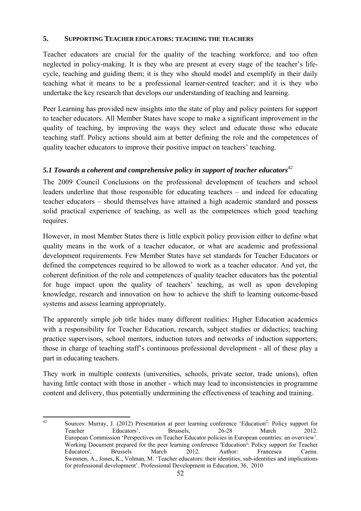#### **5. SUPPORTING TEACHER EDUCATORS: TEACHING THE TEACHERS**

Teacher educators are crucial for the quality of the teaching workforce, and too often neglected in policy-making. It is they who are present at every stage of the teacher's lifecycle, teaching and guiding them; it is they who should model and exemplify in their daily teaching what it means to be a professional learner-centred teacher; and it is they who undertake the key research that develops our understanding of teaching and learning.

Peer Learning has provided new insights into the state of play and policy pointers for support to teacher educators. All Member States have scope to make a significant improvement in the quality of teaching, by improving the ways they select and educate those who educate teaching staff. Policy actions should aim at better defining the role and the competences of quality teacher educators to improve their positive impact on teachers' teaching.

## <span id="page-51-0"></span>*5.1 Towards a coherent and comprehensive policy in support of teacher educators<sup>42</sup>*

The 2009 Council Conclusions on the professional development of teachers and school leaders underline that those responsible for educating teachers – and indeed for educating teacher educators – should themselves have attained a high academic standard and possess solid practical experience of teaching, as well as the competences which good teaching requires.

However, in most Member States there is little explicit policy provision either to define what quality means in the work of a teacher educator, or what are academic and professional development requirements. Few Member States have set standards for Teacher Educators or defined the competences required to be allowed to work as a teacher educator. And yet, the coherent definition of the role and competences of quality teacher educators has the potential for huge impact upon the quality of teachers' teaching, as well as upon developing knowledge, research and innovation on how to achieve the shift to learning outcome-based systems and assess learning appropriately.

The apparently simple job title hides many different realities: Higher Education academics with a responsibility for Teacher Education, research, subject studies or didactics; teaching practice supervisors, school mentors, induction tutors and networks of induction supporters; those in charge of teaching staff's continuous professional development - all of these play a part in educating teachers.

They work in multiple contexts (universities, schools, private sector, trade unions), often having little contact with those in another - which may lead to inconsistencies in programme content and delivery, thus potentially undermining the effectiveness of teaching and training.

 $\Delta$ 2 <sup>42</sup> Sources: Murray, J. (2012) Presentation at peer learning conference 'Education<sup>2</sup>: Policy support for Teacher Educators', Brussels, 26-28 March 2012. European Commission 'Perspectives on Teacher Educator policies in European countries: an overview'. Working Document prepared for the peer learning conference 'Education²: Policy support for Teacher Educators', Brussels March 2012. Author: Francesca Caena. Swennen, A., Jones, K., Volman, M. 'Teacher educators: their identities, sub-identities and implications for professional development'. Professional Development in Education, 36, 2010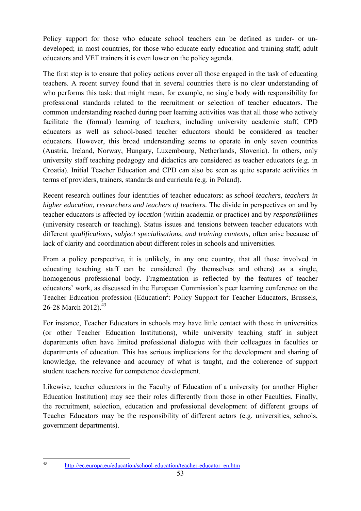Policy support for those who educate school teachers can be defined as under- or undeveloped; in most countries, for those who educate early education and training staff, adult educators and VET trainers it is even lower on the policy agenda.

The first step is to ensure that policy actions cover all those engaged in the task of educating teachers. A recent survey found that in several countries there is no clear understanding of who performs this task: that might mean, for example, no single body with responsibility for professional standards related to the recruitment or selection of teacher educators. The common understanding reached during peer learning activities was that all those who actively facilitate the (formal) learning of teachers, including university academic staff, CPD educators as well as school-based teacher educators should be considered as teacher educators. However, this broad understanding seems to operate in only seven countries (Austria, Ireland, Norway, Hungary, Luxembourg, Netherlands, Slovenia). In others, only university staff teaching pedagogy and didactics are considered as teacher educators (e.g. in Croatia). Initial Teacher Education and CPD can also be seen as quite separate activities in terms of providers, trainers, standards and curricula (e.g. in Poland).

Recent research outlines four identities of teacher educators: as *school teachers, teachers in higher education, researchers and teachers of teachers.* The divide in perspectives on and by teacher educators is affected by *location* (within academia or practice) and by *responsibilities*  (university research or teaching). Status issues and tensions between teacher educators with different *qualifications, subject specialisations, and training contexts*, often arise because of lack of clarity and coordination about different roles in schools and universities.

From a policy perspective, it is unlikely, in any one country, that all those involved in educating teaching staff can be considered (by themselves and others) as a single, homogenous professional body. Fragmentation is reflected by the features of teacher educators' work, as discussed in the European Commission's peer learning conference on the Teacher Education profession (Education<sup>2</sup>: Policy Support for Teacher Educators, Brussels, 26-28 March 2012).<sup>43</sup>

For instance, Teacher Educators in schools may have little contact with those in universities (or other Teacher Education Institutions), while university teaching staff in subject departments often have limited professional dialogue with their colleagues in faculties or departments of education. This has serious implications for the development and sharing of knowledge, the relevance and accuracy of what is taught, and the coherence of support student teachers receive for competence development.

Likewise, teacher educators in the Faculty of Education of a university (or another Higher Education Institution) may see their roles differently from those in other Faculties. Finally, the recruitment, selection, education and professional development of different groups of Teacher Educators may be the responsibility of different actors (e.g. universities, schools, government departments).

 $43$ 

<sup>43</sup> [http://ec.europa.eu/education/school-education/teacher-educator\\_en.htm](http://ec.europa.eu/education/school-education/teacher-educator_en.htm)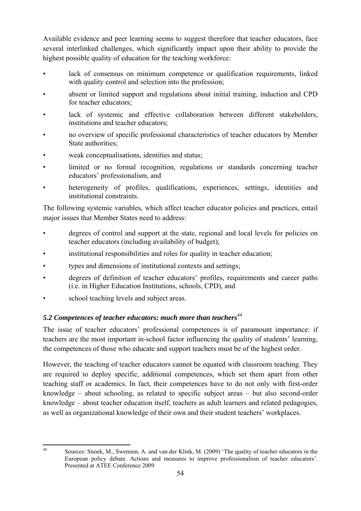Available evidence and peer learning seems to suggest therefore that teacher educators, face several interlinked challenges, which significantly impact upon their ability to provide the highest possible quality of education for the teaching workforce:

- lack of consensus on minimum competence or qualification requirements, linked with quality control and selection into the profession;
- absent or limited support and regulations about initial training, induction and CPD for teacher educators;
- lack of systemic and effective collaboration between different stakeholders, institutions and teacher educators;
- no overview of specific professional characteristics of teacher educators by Member State authorities;
- weak conceptualisations, identities and status;
- limited or no formal recognition, regulations or standards concerning teacher educators' professionalism, and
- heterogeneity of profiles, qualifications, experiences, settings, identities and institutional constraints.

The following systemic variables, which affect teacher educator policies and practices, entail major issues that Member States need to address:

- degrees of control and support at the state, regional and local levels for policies on teacher educators (including availability of budget);
- institutional responsibilities and roles for quality in teacher education;
- types and dimensions of institutional contexts and settings;
- degrees of definition of teacher educators' profiles, requirements and career paths (i.e. in Higher Education Institutions, schools, CPD), and
- school teaching levels and subject areas.

## <span id="page-53-0"></span>*5.2 Competences of teacher educators: much more than teachers<sup>44</sup>*

The issue of teacher educators' professional competences is of paramount importance: if teachers are the most important in-school factor influencing the quality of students' learning, the competences of those who educate and support teachers must be of the highest order.

However, the teaching of teacher educators cannot be equated with classroom teaching. They are required to deploy specific, additional competences, which set them apart from other teaching staff or academics. In fact, their competences have to do not only with first-order knowledge – about schooling, as related to specific subject areas – but also second-order knowledge – about teacher education itself, teachers as adult learners and related pedagogies, as well as organizational knowledge of their own and their student teachers' workplaces.

 $44$ 

Sources: Snoek, M., Swennen, A. and van der Klink, M. (2009) 'The quality of teacher educators in the European policy debate. Actions and measures to improve professionalism of teacher educators'. Presented at ATEE Conference 2009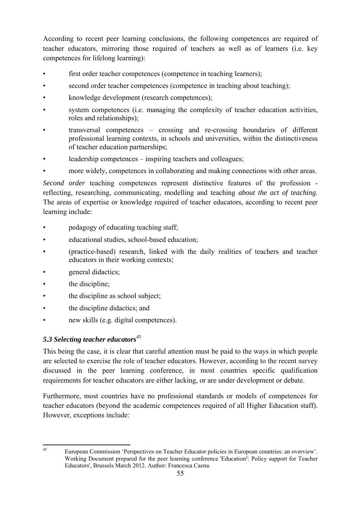According to recent peer learning conclusions, the following competences are required of teacher educators, mirroring those required of teachers as well as of learners (i.e. key competences for lifelong learning):

- first order teacher competences (competence in teaching learners);
- second order teacher competences (competence in teaching about teaching);
- knowledge development (research competences);
- system competences (i.e. managing the complexity of teacher education activities, roles and relationships);
- transversal competences crossing and re-crossing boundaries of different professional learning contexts, in schools and universities, within the distinctiveness of teacher education partnerships;
- leadership competences inspiring teachers and colleagues;
- more widely, competences in collaborating and making connections with other areas.

*Second order* teaching competences represent distinctive features of the profession reflecting, researching, communicating, modelling and teaching *about the act of teaching*. The areas of expertise or knowledge required of teacher educators, according to recent peer learning include:

- pedagogy of educating teaching staff;
- educational studies, school-based education;
- (practice-based) research, linked with the daily realities of teachers and teacher educators in their working contexts;
- general didactics;
- the discipline;
- the discipline as school subject;
- the discipline didactics; and
- new skills (e.g. digital competences).

## <span id="page-54-0"></span>*5.3 Selecting teacher educators<sup>45</sup>*

This being the case, it is clear that careful attention must be paid to the ways in which people are selected to exercise the role of teacher educators. However, according to the recent survey discussed in the peer learning conference, in most countries specific qualification requirements for teacher educators are either lacking, or are under development or debate.

Furthermore, most countries have no professional standards or models of competences for teacher educators (beyond the academic competences required of all Higher Education staff). However, exceptions include:

 $45$ 

<sup>45</sup> European Commission 'Perspectives on Teacher Educator policies in European countries: an overview'. Working Document prepared for the peer learning conference 'Education²: Policy support for Teacher Educators', Brussels March 2012. Author: Francesca Caena.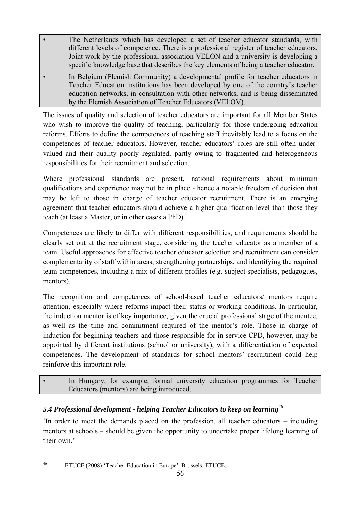- The Netherlands which has developed a set of teacher educator standards, with different levels of competence. There is a professional register of teacher educators. Joint work by the professional association VELON and a university is developing a specific knowledge base that describes the key elements of being a teacher educator.
- In Belgium (Flemish Community) a developmental profile for teacher educators in Teacher Education institutions has been developed by one of the country's teacher education networks, in consultation with other networks, and is being disseminated by the Flemish Association of Teacher Educators (VELOV).

The issues of quality and selection of teacher educators are important for all Member States who wish to improve the quality of teaching, particularly for those undergoing education reforms. Efforts to define the competences of teaching staff inevitably lead to a focus on the competences of teacher educators. However, teacher educators' roles are still often undervalued and their quality poorly regulated, partly owing to fragmented and heterogeneous responsibilities for their recruitment and selection.

Where professional standards are present, national requirements about minimum qualifications and experience may not be in place - hence a notable freedom of decision that may be left to those in charge of teacher educator recruitment. There is an emerging agreement that teacher educators should achieve a higher qualification level than those they teach (at least a Master, or in other cases a PhD).

Competences are likely to differ with different responsibilities, and requirements should be clearly set out at the recruitment stage, considering the teacher educator as a member of a team. Useful approaches for effective teacher educator selection and recruitment can consider complementarity of staff within areas, strengthening partnerships, and identifying the required team competences, including a mix of different profiles (e.g. subject specialists, pedagogues, mentors).

The recognition and competences of school-based teacher educators/ mentors require attention, especially where reforms impact their status or working conditions. In particular, the induction mentor is of key importance, given the crucial professional stage of the mentee, as well as the time and commitment required of the mentor's role. Those in charge of induction for beginning teachers and those responsible for in-service CPD, however, may be appointed by different institutions (school or university), with a differentiation of expected competences. The development of standards for school mentors' recruitment could help reinforce this important role.

## In Hungary, for example, formal university education programmes for Teacher Educators (mentors) are being introduced.

# <span id="page-55-0"></span>*5.4 Professional development - helping Teacher Educators to keep on learning<sup>46</sup>*

'In order to meet the demands placed on the profession, all teacher educators – including mentors at schools – should be given the opportunity to undertake proper lifelong learning of their own.'

 $46$ 

<sup>46</sup> ETUCE (2008) 'Teacher Education in Europe'. Brussels: ETUCE.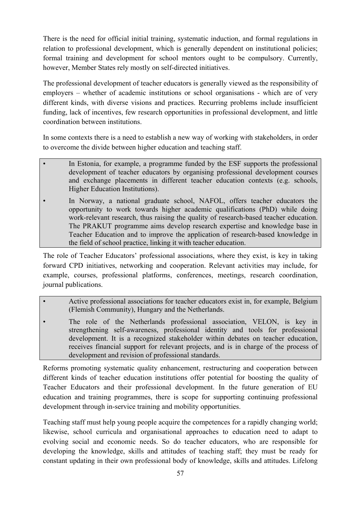There is the need for official initial training, systematic induction, and formal regulations in relation to professional development, which is generally dependent on institutional policies; formal training and development for school mentors ought to be compulsory. Currently, however, Member States rely mostly on self-directed initiatives.

The professional development of teacher educators is generally viewed as the responsibility of employers – whether of academic institutions or school organisations - which are of very different kinds, with diverse visions and practices. Recurring problems include insufficient funding, lack of incentives, few research opportunities in professional development, and little coordination between institutions.

In some contexts there is a need to establish a new way of working with stakeholders, in order to overcome the divide between higher education and teaching staff.

- In Estonia, for example, a programme funded by the ESF supports the professional development of teacher educators by organising professional development courses and exchange placements in different teacher education contexts (e.g. schools, Higher Education Institutions).
- In Norway, a national graduate school, NAFOL, offers teacher educators the opportunity to work towards higher academic qualifications (PhD) while doing work-relevant research, thus raising the quality of research-based teacher education. The PRAKUT programme aims develop research expertise and knowledge base in Teacher Education and to improve the application of research-based knowledge in the field of school practice, linking it with teacher education.

The role of Teacher Educators' professional associations, where they exist, is key in taking forward CPD initiatives, networking and cooperation. Relevant activities may include, for example, courses, professional platforms, conferences, meetings, research coordination, journal publications.

- Active professional associations for teacher educators exist in, for example, Belgium (Flemish Community), Hungary and the Netherlands.
- The role of the Netherlands professional association, VELON, is key in strengthening self-awareness, professional identity and tools for professional development. It is a recognized stakeholder within debates on teacher education, receives financial support for relevant projects, and is in charge of the process of development and revision of professional standards.

Reforms promoting systematic quality enhancement, restructuring and cooperation between different kinds of teacher education institutions offer potential for boosting the quality of Teacher Educators and their professional development. In the future generation of EU education and training programmes, there is scope for supporting continuing professional development through in-service training and mobility opportunities.

Teaching staff must help young people acquire the competences for a rapidly changing world; likewise, school curricula and organisational approaches to education need to adapt to evolving social and economic needs. So do teacher educators, who are responsible for developing the knowledge, skills and attitudes of teaching staff; they must be ready for constant updating in their own professional body of knowledge, skills and attitudes. Lifelong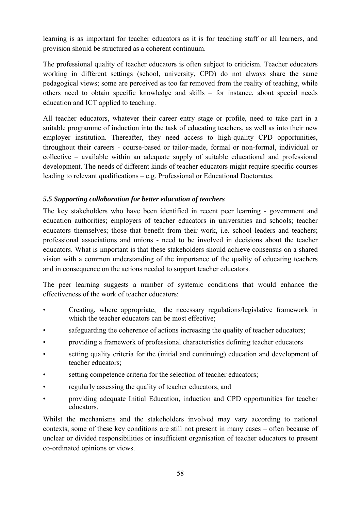learning is as important for teacher educators as it is for teaching staff or all learners, and provision should be structured as a coherent continuum.

The professional quality of teacher educators is often subject to criticism. Teacher educators working in different settings (school, university, CPD) do not always share the same pedagogical views; some are perceived as too far removed from the reality of teaching, while others need to obtain specific knowledge and skills – for instance, about special needs education and ICT applied to teaching.

All teacher educators, whatever their career entry stage or profile, need to take part in a suitable programme of induction into the task of educating teachers, as well as into their new employer institution. Thereafter, they need access to high-quality CPD opportunities, throughout their careers - course-based or tailor-made, formal or non-formal, individual or collective – available within an adequate supply of suitable educational and professional development. The needs of different kinds of teacher educators might require specific courses leading to relevant qualifications – e.g. Professional or Educational Doctorates.

## <span id="page-57-0"></span>*5.5 Supporting collaboration for better education of teachers*

The key stakeholders who have been identified in recent peer learning - government and education authorities; employers of teacher educators in universities and schools; teacher educators themselves; those that benefit from their work, i.e. school leaders and teachers; professional associations and unions - need to be involved in decisions about the teacher educators. What is important is that these stakeholders should achieve consensus on a shared vision with a common understanding of the importance of the quality of educating teachers and in consequence on the actions needed to support teacher educators.

The peer learning suggests a number of systemic conditions that would enhance the effectiveness of the work of teacher educators:

- Creating, where appropriate, the necessary regulations/legislative framework in which the teacher educators can be most effective;
- safeguarding the coherence of actions increasing the quality of teacher educators;
- providing a framework of professional characteristics defining teacher educators
- setting quality criteria for the (initial and continuing) education and development of teacher educators;
- setting competence criteria for the selection of teacher educators;
- regularly assessing the quality of teacher educators, and
- providing adequate Initial Education, induction and CPD opportunities for teacher educators.

Whilst the mechanisms and the stakeholders involved may vary according to national contexts, some of these key conditions are still not present in many cases – often because of unclear or divided responsibilities or insufficient organisation of teacher educators to present co-ordinated opinions or views.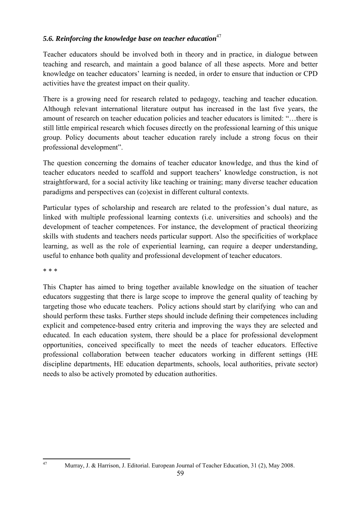## 5.6. Reinforcing the knowledge base on teacher education<sup>47</sup>

Teacher educators should be involved both in theory and in practice, in dialogue between teaching and research, and maintain a good balance of all these aspects. More and better knowledge on teacher educators' learning is needed, in order to ensure that induction or CPD activities have the greatest impact on their quality.

There is a growing need for research related to pedagogy, teaching and teacher education. Although relevant international literature output has increased in the last five years, the amount of research on teacher education policies and teacher educators is limited: "…there is still little empirical research which focuses directly on the professional learning of this unique group. Policy documents about teacher education rarely include a strong focus on their professional development".

The question concerning the domains of teacher educator knowledge, and thus the kind of teacher educators needed to scaffold and support teachers' knowledge construction, is not straightforward, for a social activity like teaching or training; many diverse teacher education paradigms and perspectives can (co)exist in different cultural contexts.

Particular types of scholarship and research are related to the profession's dual nature, as linked with multiple professional learning contexts (i.e. universities and schools) and the development of teacher competences. For instance, the development of practical theorizing skills with students and teachers needs particular support. Also the specificities of workplace learning, as well as the role of experiential learning, can require a deeper understanding, useful to enhance both quality and professional development of teacher educators.

\* \* \*

This Chapter has aimed to bring together available knowledge on the situation of teacher educators suggesting that there is large scope to improve the general quality of teaching by targeting those who educate teachers. Policy actions should start by clarifying who can and should perform these tasks. Further steps should include defining their competences including explicit and competence-based entry criteria and improving the ways they are selected and educated. In each education system, there should be a place for professional development opportunities, conceived specifically to meet the needs of teacher educators. Effective professional collaboration between teacher educators working in different settings (HE discipline departments, HE education departments, schools, local authorities, private sector) needs to also be actively promoted by education authorities.

 $\overline{47}$ 

<sup>47</sup> Murray, J. & Harrison, J. Editorial. European Journal of Teacher Education, 31 (2), May 2008.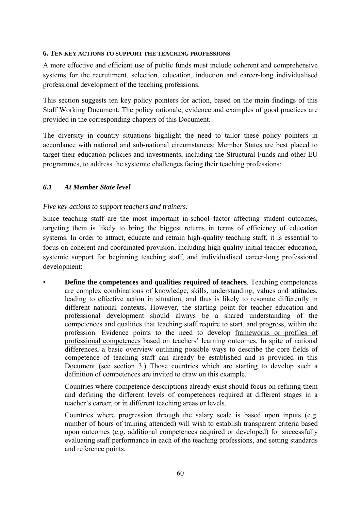#### <span id="page-59-0"></span>**6. TEN KEY ACTIONS TO SUPPORT THE TEACHING PROFESSIONS**

A more effective and efficient use of public funds must include coherent and comprehensive systems for the recruitment, selection, education, induction and career-long individualised professional development of the teaching professions.

This section suggests ten key policy pointers for action, based on the main findings of this Staff Working Document. The policy rationale, evidence and examples of good practices are provided in the corresponding chapters of this Document.

The diversity in country situations highlight the need to tailor these policy pointers in accordance with national and sub-national circumstances: Member States are best placed to target their education policies and investments, including the Structural Funds and other EU programmes, to address the systemic challenges facing their teaching professions:

#### <span id="page-59-1"></span>*6.1 At Member State level*

#### <span id="page-59-2"></span>*Five key actions to support teachers and trainers:*

Since teaching staff are the most important in-school factor affecting student outcomes, targeting them is likely to bring the biggest returns in terms of efficiency of education systems. In order to attract, educate and retrain high-quality teaching staff, it is essential to focus on coherent and coordinated provision, including high quality initial teacher education, systemic support for beginning teaching staff, and individualised career-long professional development:

• **Define the competences and qualities required of teachers**. Teaching competences are complex combinations of knowledge, skills, understanding, values and attitudes, leading to effective action in situation, and thus is likely to resonate differently in different national contexts. However, the starting point for teacher education and professional development should always be a shared understanding of the competences and qualities that teaching staff require to start, and progress, within the profession. Evidence points to the need to develop frameworks or profiles of professional competences based on teachers' learning outcomes. In spite of national differences, a basic overview outlining possible ways to describe the core fields of competence of teaching staff can already be established and is provided in this Document (see section 3.) Those countries which are starting to develop such a definition of competences are invited to draw on this example.

Countries where competence descriptions already exist should focus on refining them and defining the different levels of competences required at different stages in a teacher's career, or in different teaching areas or levels.

Countries where progression through the salary scale is based upon inputs (e.g. number of hours of training attended) will wish to establish transparent criteria based upon outcomes (e.g. additional competences acquired or developed) for successfully evaluating staff performance in each of the teaching professions, and setting standards and reference points.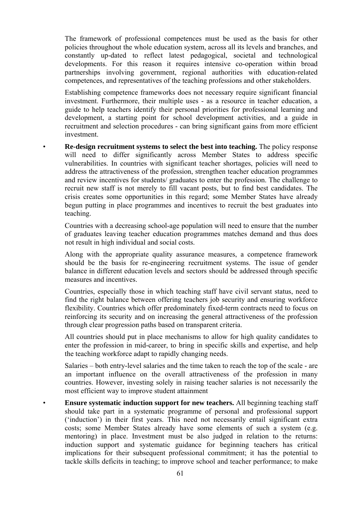The framework of professional competences must be used as the basis for other policies throughout the whole education system, across all its levels and branches, and constantly up-dated to reflect latest pedagogical, societal and technological developments. For this reason it requires intensive co-operation within broad partnerships involving government, regional authorities with education-related competences, and representatives of the teaching professions and other stakeholders.

Establishing competence frameworks does not necessary require significant financial investment. Furthermore, their multiple uses - as a resource in teacher education, a guide to help teachers identify their personal priorities for professional learning and development, a starting point for school development activities, and a guide in recruitment and selection procedures - can bring significant gains from more efficient investment.

• **Re-design recruitment systems to select the best into teaching.** The policy response will need to differ significantly across Member States to address specific vulnerabilities. In countries with significant teacher shortages, policies will need to address the attractiveness of the profession, strengthen teacher education programmes and review incentives for students/ graduates to enter the profession. The challenge to recruit new staff is not merely to fill vacant posts, but to find best candidates. The crisis creates some opportunities in this regard; some Member States have already begun putting in place programmes and incentives to recruit the best graduates into teaching.

Countries with a decreasing school-age population will need to ensure that the number of graduates leaving teacher education programmes matches demand and thus does not result in high individual and social costs.

Along with the appropriate quality assurance measures, a competence framework should be the basis for re-engineering recruitment systems. The issue of gender balance in different education levels and sectors should be addressed through specific measures and incentives.

Countries, especially those in which teaching staff have civil servant status, need to find the right balance between offering teachers job security and ensuring workforce flexibility. Countries which offer predominately fixed-term contracts need to focus on reinforcing its security and on increasing the general attractiveness of the profession through clear progression paths based on transparent criteria.

All countries should put in place mechanisms to allow for high quality candidates to enter the profession in mid-career, to bring in specific skills and expertise, and help the teaching workforce adapt to rapidly changing needs.

Salaries – both entry-level salaries and the time taken to reach the top of the scale - are an important influence on the overall attractiveness of the profession in many countries. However, investing solely in raising teacher salaries is not necessarily the most efficient way to improve student attainment

• **Ensure systematic induction support for new teachers.** All beginning teaching staff should take part in a systematic programme of personal and professional support ('induction') in their first years. This need not necessarily entail significant extra costs; some Member States already have some elements of such a system (e.g. mentoring) in place. Investment must be also judged in relation to the returns: induction support and systematic guidance for beginning teachers has critical implications for their subsequent professional commitment; it has the potential to tackle skills deficits in teaching; to improve school and teacher performance; to make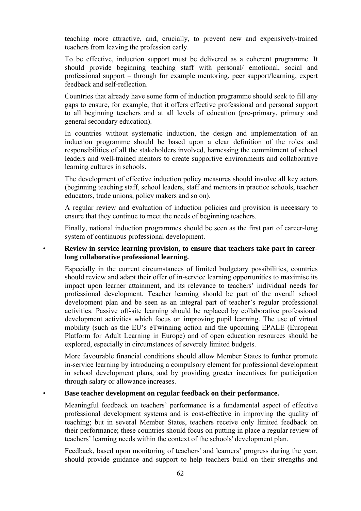teaching more attractive, and, crucially, to prevent new and expensively-trained teachers from leaving the profession early.

To be effective, induction support must be delivered as a coherent programme. It should provide beginning teaching staff with personal/ emotional, social and professional support – through for example mentoring, peer support/learning, expert feedback and self-reflection.

Countries that already have some form of induction programme should seek to fill any gaps to ensure, for example, that it offers effective professional and personal support to all beginning teachers and at all levels of education (pre-primary, primary and general secondary education).

In countries without systematic induction, the design and implementation of an induction programme should be based upon a clear definition of the roles and responsibilities of all the stakeholders involved, harnessing the commitment of school leaders and well-trained mentors to create supportive environments and collaborative learning cultures in schools.

The development of effective induction policy measures should involve all key actors (beginning teaching staff, school leaders, staff and mentors in practice schools, teacher educators, trade unions, policy makers and so on).

A regular review and evaluation of induction policies and provision is necessary to ensure that they continue to meet the needs of beginning teachers.

Finally, national induction programmes should be seen as the first part of career-long system of continuous professional development.

#### • **Review in-service learning provision, to ensure that teachers take part in careerlong collaborative professional learning.**

Especially in the current circumstances of limited budgetary possibilities, countries should review and adapt their offer of in-service learning opportunities to maximise its impact upon learner attainment, and its relevance to teachers' individual needs for professional development. Teacher learning should be part of the overall school development plan and be seen as an integral part of teacher's regular professional activities. Passive off-site learning should be replaced by collaborative professional development activities which focus on improving pupil learning. The use of virtual mobility (such as the EU's eTwinning action and the upcoming EPALE (European Platform for Adult Learning in Europe) and of open education resources should be explored, especially in circumstances of severely limited budgets.

More favourable financial conditions should allow Member States to further promote in-service learning by introducing a compulsory element for professional development in school development plans, and by providing greater incentives for participation through salary or allowance increases.

#### • **Base teacher development on regular feedback on their performance.**

Meaningful feedback on teachers' performance is a fundamental aspect of effective professional development systems and is cost-effective in improving the quality of teaching; but in several Member States, teachers receive only limited feedback on their performance; these countries should focus on putting in place a regular review of teachers' learning needs within the context of the schools' development plan.

Feedback, based upon monitoring of teachers' and learners' progress during the year, should provide guidance and support to help teachers build on their strengths and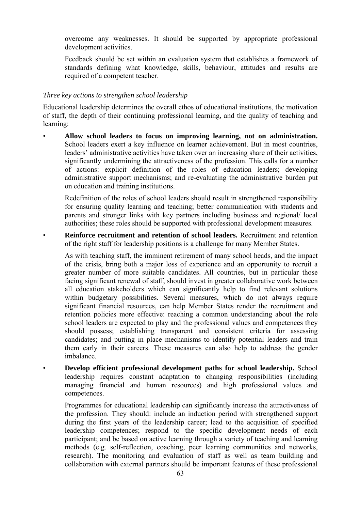overcome any weaknesses. It should be supported by appropriate professional development activities.

Feedback should be set within an evaluation system that establishes a framework of standards defining what knowledge, skills, behaviour, attitudes and results are required of a competent teacher.

#### <span id="page-62-0"></span>*Three key actions to strengthen school leadership*

Educational leadership determines the overall ethos of educational institutions, the motivation of staff, the depth of their continuing professional learning, and the quality of teaching and learning:

• **Allow school leaders to focus on improving learning, not on administration.**  School leaders exert a key influence on learner achievement. But in most countries, leaders' administrative activities have taken over an increasing share of their activities, significantly undermining the attractiveness of the profession. This calls for a number of actions: explicit definition of the roles of education leaders; developing administrative support mechanisms; and re-evaluating the administrative burden put on education and training institutions.

Redefinition of the roles of school leaders should result in strengthened responsibility for ensuring quality learning and teaching; better communication with students and parents and stronger links with key partners including business and regional/ local authorities; these roles should be supported with professional development measures.

• **Reinforce recruitment and retention of school leaders.** Recruitment and retention of the right staff for leadership positions is a challenge for many Member States.

As with teaching staff, the imminent retirement of many school heads, and the impact of the crisis, bring both a major loss of experience and an opportunity to recruit a greater number of more suitable candidates. All countries, but in particular those facing significant renewal of staff, should invest in greater collaborative work between all education stakeholders which can significantly help to find relevant solutions within budgetary possibilities. Several measures, which do not always require significant financial resources, can help Member States render the recruitment and retention policies more effective: reaching a common understanding about the role school leaders are expected to play and the professional values and competences they should possess; establishing transparent and consistent criteria for assessing candidates; and putting in place mechanisms to identify potential leaders and train them early in their careers. These measures can also help to address the gender imbalance.

• **Develop efficient professional development paths for school leadership.** School leadership requires constant adaptation to changing responsibilities (including managing financial and human resources) and high professional values and competences.

Programmes for educational leadership can significantly increase the attractiveness of the profession. They should: include an induction period with strengthened support during the first years of the leadership career; lead to the acquisition of specified leadership competences; respond to the specific development needs of each participant; and be based on active learning through a variety of teaching and learning methods (e.g. self-reflection, coaching, peer learning communities and networks, research). The monitoring and evaluation of staff as well as team building and collaboration with external partners should be important features of these professional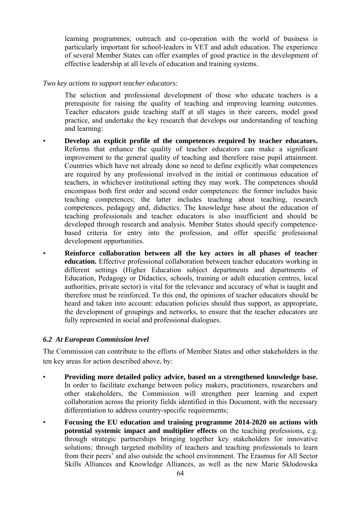learning programmes; outreach and co-operation with the world of business is particularly important for school-leaders in VET and adult education. The experience of several Member States can offer examples of good practice in the development of effective leadership at all levels of education and training systems.

#### <span id="page-63-0"></span>*Two key actions to support teacher educators:*

The selection and professional development of those who educate teachers is a prerequisite for raising the quality of teaching and improving learning outcomes. Teacher educators guide teaching staff at all stages in their careers, model good practice, and undertake the key research that develops our understanding of teaching and learning:

- **Develop an explicit profile of the competences required by teacher educators.**  Reforms that enhance the quality of teacher educators can make a significant improvement to the general quality of teaching and therefore raise pupil attainment. Countries which have not already done so need to define explicitly what competences are required by any professional involved in the initial or continuous education of teachers, in whichever institutional setting they may work. The competences should encompass both first order and second order competences: the former includes basic teaching competences; the latter includes teaching about teaching, research competences, pedagogy and, didactics. The knowledge base about the education of teaching professionals and teacher educators is also insufficient and should be developed through research and analysis. Member States should specify competencebased criteria for entry into the profession, and offer specific professional development opportunities.
- **Reinforce collaboration between all the key actors in all phases of teacher education.** Effective professional collaboration between teacher educators working in different settings (Higher Education subject departments and departments of Education, Pedagogy or Didactics, schools, training or adult education centres, local authorities, private sector) is vital for the relevance and accuracy of what is taught and therefore must be reinforced. To this end, the opinions of teacher educators should be heard and taken into account: education policies should thus support, as appropriate, the development of groupings and networks, to ensure that the teacher educators are fully represented in social and professional dialogues.

#### <span id="page-63-1"></span>*6.2 At European Commission level*

The Commission can contribute to the efforts of Member States and other stakeholders in the ten key areas for action described above, by:

- **Providing more detailed policy advice, based on a strengthened knowledge base.**  In order to facilitate exchange between policy makers, practitioners, researchers and other stakeholders, the Commission will strengthen peer learning and expert collaboration across the priority fields identified in this Document, with the necessary differentiation to address country-specific requirements;
- **Focusing the EU education and training programme 2014-2020 on actions with potential systemic impact and multiplier effects** on the teaching professions, e.g. through strategic partnerships bringing together key stakeholders for innovative solutions; through targeted mobility of teachers and teaching professionals to learn from their peers' and also outside the school environment. The Erasmus for All Sector Skills Alliances and Knowledge Alliances, as well as the new Marie Skłodowska